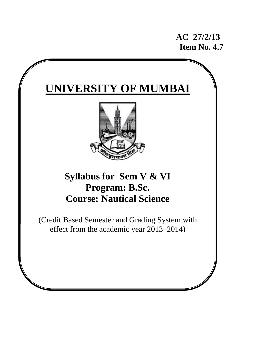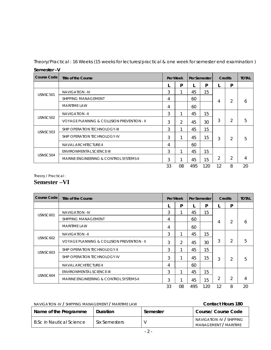Theory/Practical : 16 Weeks (15 weeks for lectures/practical & one week for semester end examination )

| סכוווכאוכו –۷        |                                                    |    |               |     |              |    |                |    |
|----------------------|----------------------------------------------------|----|---------------|-----|--------------|----|----------------|----|
| Course Code          | Title of the Course                                |    | Per Week      |     | Per Semester |    | <b>Credits</b> |    |
|                      |                                                    |    | P             |     | P            |    | P              |    |
| USNSC501             | <b>NAVIGATION-IV</b>                               | 3  | 1             | 45  | 15           |    |                |    |
|                      | SHIPPING MANAGEMENT                                | 4  |               | 60  |              | 4  | $\overline{2}$ | 6  |
|                      | <b>MARITIME LAW</b>                                |    |               | 60  |              |    |                |    |
|                      | <b>NAVIGATION-II</b>                               | 3  | 1             | 45  | 15           |    |                |    |
| USNSC <sub>502</sub> | VOYAGE PLANNING & COLLISION PREVENTION - II        | 3  | $\mathcal{P}$ | 45  | 30           | 3  | 2              | 5  |
| USNSC503             | <b>SHIP OPERATION TECHNOLOGY-III</b>               | 3  | 1             | 45  | 15           |    |                |    |
|                      | SHIP OPERATION TECHNOLOGY-IV                       |    | 1             | 45  | 15           | 3  | $\overline{2}$ | 5  |
|                      | <b>NAVAL ARCHITECTURE-II</b>                       | 4  |               | 60  |              |    |                |    |
|                      | ENVIRONMENTAL SCIENCE-III                          | 3  | 1             | 45  | 15           |    |                |    |
| USNSC504             | <b>MARINE ENGINEERING &amp; CONTROL SYSTEMS-II</b> |    | 1             | 45  | 15           | 2  | 2              | 4  |
|                      |                                                    | 33 | 08            | 495 | 120          | 12 | 8              | 20 |

**Semester –V** 

Theory / Practical :

# **Semester –VI**

| Course Code | Title of the Course                         |    | Per Week |     | Per Semester |    | <b>Credits</b> |    |
|-------------|---------------------------------------------|----|----------|-----|--------------|----|----------------|----|
|             |                                             |    | P        |     | P            |    | P              |    |
| USNSC601    | <b>NAVIGATION-IV</b>                        | 3  | 1        | 45  | 15           |    |                |    |
|             | <b>SHIPPING MANAGEMENT</b>                  | 4  |          | 60  |              | 4  | $\overline{2}$ | 6  |
|             | <b>MARITIME LAW</b>                         |    |          | 60  |              |    |                |    |
|             | <b>NAVIGATION-II</b>                        | 3  | 1        | 45  | 15           |    |                |    |
| USNSC602    | VOYAGE PLANNING & COLLISION PREVENTION - II | 3  | 2        | 45  | 30           | 3  | $\overline{2}$ | 5  |
| USNSC603    | SHIP OPERATION TECHNOLOGY-II                | 3  | 1        | 45  | 15           |    |                |    |
|             | SHIP OPERATION TECHNOLOGY-IV                |    | 1        | 45  | 15           | 3  | $\overline{2}$ | 5  |
|             | <b>NAVAL ARCHITECTURE-II</b>                | 4  |          | 60  |              |    |                |    |
|             | ENVIRONMENTAL SCIENCE-III                   | 3  | 1        | 45  | 15           |    |                |    |
| USNSC604    | MARINE ENGINEERING & CONTROL SYSTEMS-II     |    | 1        | 45  | 15           | 2  | $\overline{2}$ | 4  |
|             |                                             | 33 | 08       | 495 | 120          | 12 | 8              | 20 |

# NAVIGATION -IV / SHIPPING MANAGEMENT / MARITIME LAW **Contact Hours 180**

| Name of the Programme           | <b>Duration</b> | Semester | Course/ Course Code                                |
|---------------------------------|-----------------|----------|----------------------------------------------------|
| <b>B.Sc in Nautical Science</b> | Six Semesters   |          | NAVIGATION -IV / SHIPPING<br>MANAGEMENT / MARITIME |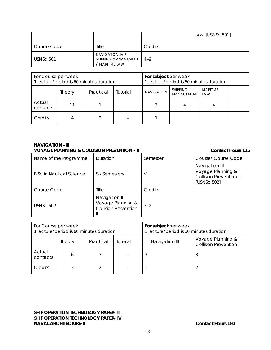|                  |                                                         |         | LAW [USNSc 501] |
|------------------|---------------------------------------------------------|---------|-----------------|
| Course Code      | Title                                                   | Credits |                 |
| <b>USNSc 501</b> | NAVIGATION -IV /<br>SHIPPING MANAGEMENT<br>MARITIME LAW | $4 + 2$ |                 |

| For Course per week<br>1 lecture/period is 60 minutes duration |        |           | For subject per week<br>1 lecture/period is 60 minutes duration |                   |                                      |                        |  |
|----------------------------------------------------------------|--------|-----------|-----------------------------------------------------------------|-------------------|--------------------------------------|------------------------|--|
|                                                                | Theory | Practical | Tutorial                                                        | <b>NAVIGATION</b> | <b>SHIPPING</b><br><b>MANAGEMENT</b> | <b>MARITIME</b><br>LAW |  |
| Actual<br>contacts                                             | 11     |           |                                                                 |                   |                                      |                        |  |
| Credits                                                        |        |           | --                                                              |                   |                                      |                        |  |

#### **NAVIGATION –III VOYAGE PLANNING & COLLISION PREVENTION - II COLLISION PREVENTION - II**

#### Name of the Programme Duration Semester Semester Securse/ Course Code B.Sc in Nautical Science  $\left| \right|$  Six Semesters  $\left| \right|$  V Navigation-III Voyage Planning & Collision Prevention –II [USNSc 502] Course Code Title | Credits USNSc 502 Navigation-II Voyage Planning & Collision Prevention-II  $3+2$

| For Course per week | 1 lecture/period is 60 minutes duration |           |          | For subject per week<br>1 lecture/period is 60 minutes duration |                                                     |  |
|---------------------|-----------------------------------------|-----------|----------|-----------------------------------------------------------------|-----------------------------------------------------|--|
|                     | Theory                                  | Practical | Tutorial | Navigation-III                                                  | Voyage Planning &<br><b>Collision Prevention-II</b> |  |
| Actual<br>contacts  | 6                                       |           |          | 3                                                               | w                                                   |  |
| Credits             |                                         |           | --       |                                                                 |                                                     |  |

**SHIP OPERATION TECHNOLOGY PAPER- II SHIP OPERATION TECHNOLOGY PAPER- IV NAVAL ARCHITECTURE-II Contact Hours 180**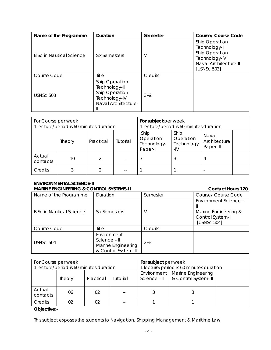| Name of the Programme           | Duration                                                                                  | Semester | <b>Course/ Course Code</b>                                                                                 |
|---------------------------------|-------------------------------------------------------------------------------------------|----------|------------------------------------------------------------------------------------------------------------|
| <b>B.Sc in Nautical Science</b> | Six Semesters                                                                             | V        | Ship Operation<br>Technology-II<br>Ship Operation<br>Technology-IV<br>Naval Architecture-II<br>[USNSc 503] |
| Course Code                     | <b>Title</b>                                                                              | Credits  |                                                                                                            |
| <b>USNSc 503</b>                | Ship Operation<br>Technology-II<br>Ship Operation<br>Technology-IV<br>Naval Architecture- | $3+2$    |                                                                                                            |

| For Course per week<br>1 lecture/period is 60 minutes duration |        |           |          | For subject per week<br>1 lecture/period is 60 minutes duration                                                             |  |   |  |
|----------------------------------------------------------------|--------|-----------|----------|-----------------------------------------------------------------------------------------------------------------------------|--|---|--|
|                                                                | Theory | Practical | Tutorial | Ship<br>Ship<br>Naval<br>Operation<br>Operation<br>Architecture<br>Technology-<br>Technology<br>Paper-II<br>Paper-II<br>-IV |  |   |  |
| Actual<br>contacts                                             | 10     |           | $- -$    |                                                                                                                             |  | 4 |  |
| Credits                                                        |        |           | --       |                                                                                                                             |  |   |  |

#### **ENVIRONMENTAL SCIENCE-II**  MARINE ENGINEERING & CONTROL SYSTEMS-II CONTROL STATEMENT CONTACT HOURS 120

| Name of the Programme           | Duration                                                                  | Semester | Course/ Course Code                                                                |
|---------------------------------|---------------------------------------------------------------------------|----------|------------------------------------------------------------------------------------|
| <b>B.Sc in Nautical Science</b> | Six Semesters                                                             |          | Environment Science -<br>Marine Engineering &<br>Control System- II<br>[USNSc 504] |
| Course Code                     | Title                                                                     | Credits  |                                                                                    |
| USNSc 504                       | Environment<br>Science - II<br>Marine Engineering<br>& Control System- II | $2+2$    |                                                                                    |

| For Course per week                     |        |           |                                         | For subject per week                                                    |  |  |
|-----------------------------------------|--------|-----------|-----------------------------------------|-------------------------------------------------------------------------|--|--|
| 1 lecture/period is 60 minutes duration |        |           | 1 lecture/period is 60 minutes duration |                                                                         |  |  |
|                                         | Theory | Practical | Tutorial                                | Environment   Marine Engineering<br>& Control System-II<br>Science - II |  |  |
| Actual<br>contacts                      | 06     | 02        |                                         |                                                                         |  |  |
| Credits                                 | 02     | 02        |                                         |                                                                         |  |  |

# **Objective:-**

This subject exposes the students to Navigation, Shipping Management & Maritime Law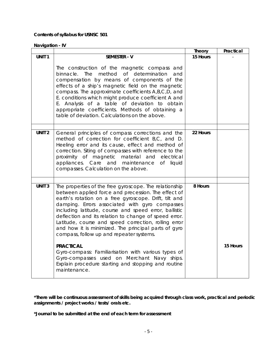# **Contents of syllabus for USNSC 501**

**Navigation - IV** 

|                   |                                                                                                                                                                                                                                                                                                                                                                                                                                                                                                        | <b>Theory</b> | Practical |
|-------------------|--------------------------------------------------------------------------------------------------------------------------------------------------------------------------------------------------------------------------------------------------------------------------------------------------------------------------------------------------------------------------------------------------------------------------------------------------------------------------------------------------------|---------------|-----------|
| UNIT <sub>1</sub> | <b>SEMESTER - V</b>                                                                                                                                                                                                                                                                                                                                                                                                                                                                                    | 15 Hours      |           |
|                   | The construction of the magnetic compass and<br>binnacle. The method of determination<br>and<br>compensation by means of components of the<br>effects of a ship's magnetic field on the magnetic<br>compass. The approximate coefficients A,B,C,D, and<br>E. conditions which might produce coefficient A and<br>E. Analysis of a table of deviation to obtain<br>appropriate coefficients. Methods of obtaining a<br>table of deviation. Calculations on the above.                                   |               |           |
| UNIT <sub>2</sub> | General principles of compass corrections and the                                                                                                                                                                                                                                                                                                                                                                                                                                                      | 22 Hours      |           |
|                   | method of correction for coefficient B,C, and D.<br>Heeling error and its cause, effect and method of<br>correction. Siting of compasses with reference to the<br>proximity of magnetic material and electrical<br>appliances. Care and maintenance<br>of<br>liquid<br>compasses. Calculation on the above.                                                                                                                                                                                            |               |           |
|                   |                                                                                                                                                                                                                                                                                                                                                                                                                                                                                                        |               |           |
| UNIT <sub>3</sub> | The properties of the free gyroscope. The relationship<br>between applied force and precession. The effect of<br>earth's rotation on a free gyroscope. Drift, tilt and<br>damping. Errors associated with gyro compasses<br>including latitude, course and speed error, ballistic<br>deflection and its relation to change of speed error.<br>Latitude, course and speed correction, rolling error<br>and how it is minimized. The principal parts of gyro<br>compass, follow up and repeater systems. | 8 Hours       |           |
|                   | <b>PRACTICAL</b><br>Gyro-compass: Familiarisation with various types of<br>Gyro-compasses used on Merchant Navy ships.<br>Explain procedure starting and stopping and routine<br>maintenance.                                                                                                                                                                                                                                                                                                          |               | 15 Hours  |

**\*There will be continuous assessment of skills being acquired through class work, practical and periodic assignments / project works / tests/ orals etc.** 

**\*Journal to be submitted at the end of each term for assessment**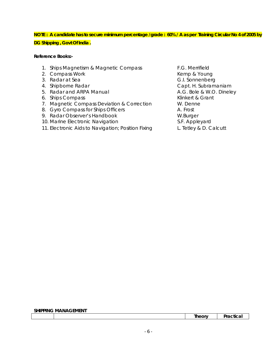# **NOTE : A candidate has to secure minimum percentage /grade : 60% / A as per Training Circular No 4 of 2005 by DG Shipping , Govt Of India .**

### **Reference Books:-**

- 1. Ships Magnetism & Magnetic Compass F.G. Merrifield
- 2. Compass Work **Kemp & Young** 2. Compass Work
- 
- 
- 5. Radar and ARPA Manual **A.G. Bole & W.O. Dineley**
- 6. Ships Compass **Klinkert & Grant**
- 7. Magnetic Compass Deviation & Correction W. Denne
- 8. Gyro Compass for Ships Officers **A.** Frost
- 9. Radar Observer's Handbook W.Burger
- 10. Marine Electronic Navigation S.F. Appleyard
- 11. Electronic Aids to Navigation; Position Fixing L. Tetley & D. Calcutt

3. Radar at Sea G.I. Sonnenberg 4. Shipborne Radar **Capt. H. Subramaniam** 

#### **SHIPPING MANAGEMENT**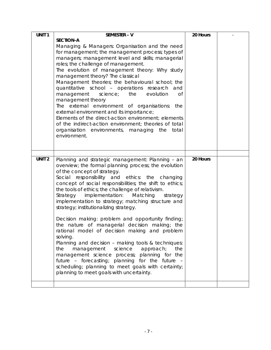| UNIT <sub>1</sub> | <b>SEMESTER - V</b>                                                                                                                                                                                                                                                                                                                                                                                                                                                                                                                                                                                                                                                                                                                                                                                                                                                                                                                              | 20 Hours |  |
|-------------------|--------------------------------------------------------------------------------------------------------------------------------------------------------------------------------------------------------------------------------------------------------------------------------------------------------------------------------------------------------------------------------------------------------------------------------------------------------------------------------------------------------------------------------------------------------------------------------------------------------------------------------------------------------------------------------------------------------------------------------------------------------------------------------------------------------------------------------------------------------------------------------------------------------------------------------------------------|----------|--|
|                   | <b>SECTION-A</b><br>Managing & Managers: Organisation and the need<br>for management; the management process; types of<br>managers; management level and skills; managerial<br>roles; the challenge of management.<br>The evolution of management theory: Why study<br>management theory? The classical<br>Management theories; the behavioural school; the<br>quantitative school - operations research and<br>management<br>science; the<br>evolution<br>Οf<br>management theory<br>The external environment of organisations: the<br>external environment and its importance;<br>Elements of the direct-action environment; elements<br>of the indirect-action environment; theories of total<br>organisation environments, managing the total<br>environment.                                                                                                                                                                                |          |  |
|                   |                                                                                                                                                                                                                                                                                                                                                                                                                                                                                                                                                                                                                                                                                                                                                                                                                                                                                                                                                  |          |  |
| UNIT <sub>2</sub> | Planning and strategic management: Planning - an<br>overview; the formal planning process; the evolution<br>of the concept of strategy.<br>Social responsibility and ethics: the changing<br>concept of social responsibilities; the shift to ethics;<br>the tools of ethics; the challenge of relativism.<br>implementation: Matching<br>Strategy<br>strategy<br>implementation to strategy; matching structure and<br>strategy; institutionalizing strategy.<br>Decision making: problem and opportunity finding;<br>the nature of managerial decision making; the<br>rational model of decision making and problem<br>solving.<br>Planning and decision - making tools & techniques:<br>science<br>the<br>management<br>approach;<br>the<br>management science process; planning for the<br>future - forecasting; planning for the future -<br>scheduling; planning to meet goals with certainty;<br>planning to meet goals with uncertainty. | 20 Hours |  |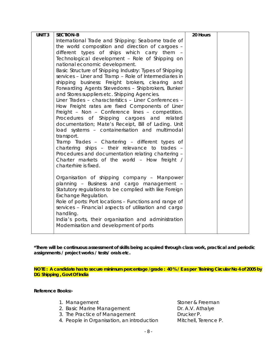| UNIT <sub>3</sub> | <b>SECTION-B</b>                                             | 20 Hours |  |
|-------------------|--------------------------------------------------------------|----------|--|
|                   | International Trade and Shipping: Seaborne trade of          |          |  |
|                   | the world composition and direction of cargoes -             |          |  |
|                   | different types of ships which carry them -                  |          |  |
|                   | Technological development - Role of Shipping on              |          |  |
|                   | national economic development.                               |          |  |
|                   | Basic Structure of Shipping Industry: Types of Shipping      |          |  |
|                   | services - Liner and Tramp - Role of Intermediaries in       |          |  |
|                   | shipping business: Freight brokers, clearing and             |          |  |
|                   | Forwarding Agents Stevedores - Shipbrokers, Bunker           |          |  |
|                   | and Stores suppliers etc. Shipping Agencies.                 |          |  |
|                   | Liner Trades - characteristics - Liner Conferences -         |          |  |
|                   | How Freight rates are fixed Components of Liner              |          |  |
|                   | Freight - Non - Conference lines - competition.              |          |  |
|                   | Procedures of Shipping cargoes and related                   |          |  |
|                   | documentation; Mate's Receipt, Bill of Lading. Unit          |          |  |
|                   | load systems - containerisation and multimodal<br>transport. |          |  |
|                   | Tramp Trades - Chartering - different types of               |          |  |
|                   | chartering ships - their relevance to trades -               |          |  |
|                   | Procedures and documentation relating chartering -           |          |  |
|                   | Charter markets of the world - How freight /                 |          |  |
|                   | charterhire is fixed.                                        |          |  |
|                   |                                                              |          |  |
|                   | Organisation of shipping company - Manpower                  |          |  |
|                   | planning - Business and cargo management -                   |          |  |
|                   | Statutory regulations to be complied with like Foreign       |          |  |
|                   | Exchange Regulation.                                         |          |  |
|                   | Role of ports: Port locations - Functions and range of       |          |  |
|                   | services - Financial aspects of utilisation and cargo        |          |  |
|                   | handling.                                                    |          |  |
|                   | India's ports, their organisation and administration         |          |  |
|                   | Modernisation and development of ports                       |          |  |
|                   |                                                              |          |  |

**NOTE : A candidate has to secure minimum percentage /grade : 40 % / E as per Training Circular No 4 of 2005 by DG Shipping , Govt Of India** 

**Reference Books:-** 

- 
- 2. Basic Marine Management Dr. A.V. Athalye
- 3. The Practice of Management Drucker P.
- 4. People in Organisation, an introduction Mitchell, Terence P.

1. Management Stoner & Freeman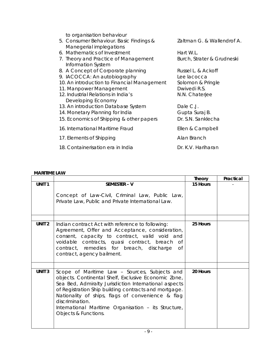to organisation behaviour

| 5. Consumer Behaviour. Basic Findings &<br>Manegerial implegations | Zaltman G. & Wallendrof A. |
|--------------------------------------------------------------------|----------------------------|
| 6. Mathematics of Investment                                       | Hart W.L.                  |
| 7. Theory and Practice of Management<br>Information System         | Burch, Strater & Grudneski |
| 8. A Concept of Corporate planning                                 | Russel L. & Ackoff         |
| 9. IACOCCA: An autobiography                                       | Lee lacocca                |
| 10. An introduction to Financial Management                        | Solomon & Pringle          |
| 11. Manpower Management                                            | Dwivedi R.S.               |
| 12. Industrial Relations in India's<br>Developing Economy          | N.N. Chaterjee             |
| 13. An introduction Database System                                | Dale C.J.                  |
| 14. Monetary Planning for India                                    | Gupta Suraj B.             |
| 15. Economics of Shipping & other papers                           | Dr. S.N. Sanklecha         |
| 16. International Maritime Fraud                                   | Ellen & Campbell           |
| 17. Elements of Shipping                                           | Alan Branch                |
| 18. Containerisation era in India                                  | Dr. K.V. Hariharan         |

# **MARITIME LAW**

|                   |                                                                                                                                                                                                                                                                                                                                                                                 | Theory   | Practical |
|-------------------|---------------------------------------------------------------------------------------------------------------------------------------------------------------------------------------------------------------------------------------------------------------------------------------------------------------------------------------------------------------------------------|----------|-----------|
| UNIT <sub>1</sub> | SEMESTER - V<br>Concept of Law-Civil, Criminal Law, Public Law,<br>Private Law, Public and Private International Law.                                                                                                                                                                                                                                                           | 15 Hours |           |
| UNIT <sub>2</sub> | Indian contract Act with reference to following:<br>Agreement, Offer and Acceptance, consideration,<br>consent, capacity to contract, valid void and<br>voidable contracts, quasi contract, breach<br>Of<br>contract, remedies for breach, discharge<br>Οf<br>contract, agency bailment.                                                                                        | 25 Hours |           |
| <b>UNIT 3</b>     | Scope of Maritime Law - Sources, Subjects and<br>objects. Continental Shelf, Exclusive Economic Zone,<br>Sea Bed, Admiralty Jurisdiction International aspects<br>of Registration Ship building contracts and mortgage.<br>Nationality of ships, flags of convenience & flag<br>discrimination.<br>International Maritime Organisation - its Structure,<br>Objects & Functions. | 20 Hours |           |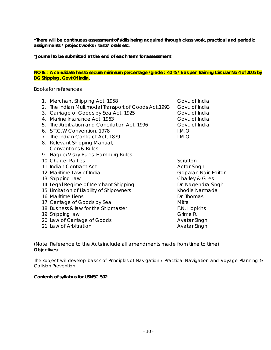**\*Journal to be submitted at the end of each term for assessment** 

#### **NOTE : A candidate has to secure minimum percentage /grade : 40 % / E as per Training Circular No 4 of 2005 by DG Shipping , Govt Of India.**

Books for references

|                                | Govt. of India                                                                                                                                                                                                                                                                                                                                                                                                                                                                                                                                                                                                                                                                                                                     |
|--------------------------------|------------------------------------------------------------------------------------------------------------------------------------------------------------------------------------------------------------------------------------------------------------------------------------------------------------------------------------------------------------------------------------------------------------------------------------------------------------------------------------------------------------------------------------------------------------------------------------------------------------------------------------------------------------------------------------------------------------------------------------|
|                                | Govt. of India                                                                                                                                                                                                                                                                                                                                                                                                                                                                                                                                                                                                                                                                                                                     |
|                                | Govt. of India                                                                                                                                                                                                                                                                                                                                                                                                                                                                                                                                                                                                                                                                                                                     |
|                                | Govt. of India                                                                                                                                                                                                                                                                                                                                                                                                                                                                                                                                                                                                                                                                                                                     |
|                                | Govt. of India                                                                                                                                                                                                                                                                                                                                                                                                                                                                                                                                                                                                                                                                                                                     |
|                                | I.M.O                                                                                                                                                                                                                                                                                                                                                                                                                                                                                                                                                                                                                                                                                                                              |
|                                | LM.O                                                                                                                                                                                                                                                                                                                                                                                                                                                                                                                                                                                                                                                                                                                               |
|                                |                                                                                                                                                                                                                                                                                                                                                                                                                                                                                                                                                                                                                                                                                                                                    |
| <b>Conventions &amp; Rules</b> |                                                                                                                                                                                                                                                                                                                                                                                                                                                                                                                                                                                                                                                                                                                                    |
|                                |                                                                                                                                                                                                                                                                                                                                                                                                                                                                                                                                                                                                                                                                                                                                    |
|                                | Scrutton                                                                                                                                                                                                                                                                                                                                                                                                                                                                                                                                                                                                                                                                                                                           |
|                                | <b>Actar Singh</b>                                                                                                                                                                                                                                                                                                                                                                                                                                                                                                                                                                                                                                                                                                                 |
|                                | Gopalan Nair, Editor                                                                                                                                                                                                                                                                                                                                                                                                                                                                                                                                                                                                                                                                                                               |
|                                | Charley & Giles                                                                                                                                                                                                                                                                                                                                                                                                                                                                                                                                                                                                                                                                                                                    |
|                                | Dr. Nagendra Singh                                                                                                                                                                                                                                                                                                                                                                                                                                                                                                                                                                                                                                                                                                                 |
|                                | Khodie Narmada                                                                                                                                                                                                                                                                                                                                                                                                                                                                                                                                                                                                                                                                                                                     |
|                                | Dr. Thomas                                                                                                                                                                                                                                                                                                                                                                                                                                                                                                                                                                                                                                                                                                                         |
|                                | Mitra                                                                                                                                                                                                                                                                                                                                                                                                                                                                                                                                                                                                                                                                                                                              |
|                                | F.N. Hopkins                                                                                                                                                                                                                                                                                                                                                                                                                                                                                                                                                                                                                                                                                                                       |
|                                | Grime R.                                                                                                                                                                                                                                                                                                                                                                                                                                                                                                                                                                                                                                                                                                                           |
|                                | Avatar Singh                                                                                                                                                                                                                                                                                                                                                                                                                                                                                                                                                                                                                                                                                                                       |
|                                | Avatar Singh                                                                                                                                                                                                                                                                                                                                                                                                                                                                                                                                                                                                                                                                                                                       |
|                                | 1. Merchant Shipping Act, 1958<br>2. The Indian Multimodal Transport of Goods Act, 1993<br>3. Carriage of Goods by Sea Act, 1925<br>4. Marine Insurance Act, 1963<br>5. The Arbitration and Conciliation Act, 1996<br>6. S.T.C.W Convention, 1978<br>7. The Indian Contract Act, 1879<br>8. Relevant Shipping Manual,<br>9. Hague/Visby Rules. Hamburg Rules<br>10. Charter Parties<br>11. Indian Contract Act<br>12. Maritime Law of India<br>13. Shipping Law<br>14. Legal Regime of Merchant Shipping<br>15. Limitation of Liability of Shipowners<br>16. Maritime Liens<br>17. Carriage of Goods by Sea<br>18. Business & law for the Shipmaster<br>19. Shipping law<br>20. Law of Carriage of Goods<br>21. Law of Arbitration |

(Note: Reference to the Acts include all amendments made from time to time) **Objectives:-** 

The subject will develop basics of Principles of Navigation / Practical Navigation and Voyage Planning & Collision Prevention .

#### **Contents of syllabus for USNSC 502**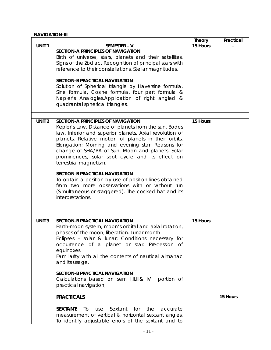### **NAVIGATION-III**

|                   |                                                                                                                                                                                                                                                                                                                                                                                                                                                                                                                                                                                                                                                                             | <b>Theory</b> | Practical |
|-------------------|-----------------------------------------------------------------------------------------------------------------------------------------------------------------------------------------------------------------------------------------------------------------------------------------------------------------------------------------------------------------------------------------------------------------------------------------------------------------------------------------------------------------------------------------------------------------------------------------------------------------------------------------------------------------------------|---------------|-----------|
| UNIT <sub>1</sub> | SEMESTER - V<br>SECTION-A PRINCIPLES OF NAVIGATION<br>Birth of universe, stars, planets and their satellites.<br>Signs of the Zodiac. Recognition of principal stars with<br>reference to their constellations. Stellar magnitudes.<br><b>SECTION-B PRACTICAL NAVIGATION</b><br>Solution of Spherical triangle by Haversine formula,<br>Sine formula, Cosine formula, four part formula &<br>Napier's Analogies.Application of right angled &<br>quadrantal spherical triangles.                                                                                                                                                                                            | 15 Hours      |           |
| UNIT <sub>2</sub> | SECTION-A PRINCIPLES OF NAVIGATION<br>Kepler's Law. Distance of planets from the sun. Bodes<br>law. Inferior and superior planets. Axial revolution of<br>planets. Relative motion of planets in their orbits.<br>Elongation; Morning and evening star; Reasons for<br>change of SHA/RA of Sun, Moon and planets. Solar<br>prominences, solar spot cycle and its effect on<br>terrestrial magnetism.<br><b>SECTION-B PRACTICAL NAVIGATION</b><br>To obtain a position by use of position lines obtained<br>from two more observations with or without run<br>(Simultaneous or staggered). The cocked hat and its<br>interpretations.                                        | 15 Hours      |           |
| <b>UNIT3</b>      | <b>SECTION-B PRACTICAL NAVIGATION</b><br>Earth-moon system, moon's orbital and axial rotation,<br>phases of the moon, liberation. Lunar month.<br>Eclipses - solar & lunar; Conditions necessary for<br>occurrence of a planet or star. Precession of<br>equinoxes.<br>Familiarity with all the contents of nautical almanac<br>and its usage.<br><b>SECTION-B PRACTICAL NAVIGATION</b><br>Calculations based on sem I,II,III& IV<br>portion of<br>practical navigation,<br><b>PRACTICALS</b><br><b>SEXTANT:</b><br>Sextant for the<br>To<br>use<br>accurate<br>measurement of vertical & horizontal sextant angles.<br>To identify adjustable errors of the sextant and to | 15 Hours      | 15 Hours  |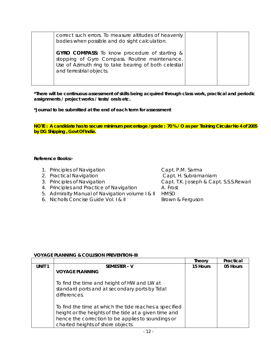| correct such errors. To measure altitudes of heavenly<br>bodies when possible and do sight calculation.                                                                                     |  |
|---------------------------------------------------------------------------------------------------------------------------------------------------------------------------------------------|--|
| <b>GYRO COMPASS:</b> To know procedure of starting &<br>stopping of Gyro Compass. Routine maintenance.<br>Use of Azimuth ring to take bearing of both celestial<br>and terrestrial objects. |  |

**\*Journal to be submitted at the end of each term for assessment** 

**NOTE : A candidate has to secure minimum percentage /grade : 70 % / O as per Training Circular No 4 of 2005 by DG Shipping , Govt Of India.** 

### **Reference Books:-**

- 1. Principles of Navigation Capt. P.M. Sarma
- 2. Practical Navigation Capt. H. Subramaniam
- 
- 4. Principles and Practice of Navigation A. Frost
- 5. Admiralty Manual of Navigation volume | & || HMSO<br>6. Nicholls Concise Guide Vol. | & || Brown & Ferguson
- 6. Nicholls Concise Guide Vol.  $\overline{R}$  II

3. Principles of Navigation Capt. T.K. Joseph & Capt. S.S.S.Rewari

# **VOYAGE PLANNING & COLLISION PREVENTION-III**

|                   |                                                                                                                                                                                                            | Theory   | Practical |
|-------------------|------------------------------------------------------------------------------------------------------------------------------------------------------------------------------------------------------------|----------|-----------|
| UNIT <sub>1</sub> | SEMESTER - V                                                                                                                                                                                               | 15 Hours | 05 Hours  |
|                   | <b>VOYAGE PLANNING</b>                                                                                                                                                                                     |          |           |
|                   | To find the time and height of HW and LW at<br>standard ports and at secondary ports by Tidal<br>differences.                                                                                              |          |           |
|                   | To find the time at which the tide reaches a specified<br>height or the heights of the tide at a given time and<br>hence the correction to be applies to soundings or<br>charted heights of shore objects. |          |           |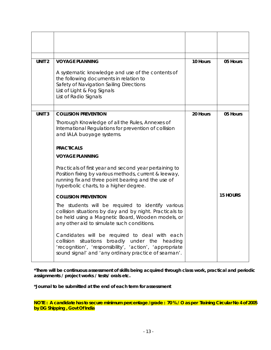| UNIT <sub>2</sub> | <b>VOYAGE PLANNING</b>                                                                                                                                                                                                                                                                                                                                                                                                                                                                                                                                                                                                                                                                                                                                                                                                                                                                   | 10 Hours | 05 Hours        |
|-------------------|------------------------------------------------------------------------------------------------------------------------------------------------------------------------------------------------------------------------------------------------------------------------------------------------------------------------------------------------------------------------------------------------------------------------------------------------------------------------------------------------------------------------------------------------------------------------------------------------------------------------------------------------------------------------------------------------------------------------------------------------------------------------------------------------------------------------------------------------------------------------------------------|----------|-----------------|
|                   | A systematic knowledge and use of the contents of<br>the following documents in relation to<br>Safety of Navigation Sailing Directions<br>List of Light & Fog Signals<br>List of Radio Signals                                                                                                                                                                                                                                                                                                                                                                                                                                                                                                                                                                                                                                                                                           |          |                 |
| <b>UNIT 3</b>     | <b>COLLISION PREVENTION</b>                                                                                                                                                                                                                                                                                                                                                                                                                                                                                                                                                                                                                                                                                                                                                                                                                                                              | 20 Hours | 05 Hours        |
|                   | Thorough Knowledge of all the Rules, Annexes of<br>International Regulations for prevention of collision<br>and IALA buoyage systems.<br><b>PRACTICALS</b><br><b>VOYAGE PLANNING</b><br>Practicals of first year and second year pertaining to<br>Position fixing by various methods, current & leeway,<br>running fix and three point bearing and the use of<br>hyperbolic charts, to a higher degree.<br><b>COLLISION PREVENTION</b><br>The students will be required to identify various<br>collision situations by day and by night. Practicals to<br>be held using a Magnetic Board, Wooden models, or<br>any other aid to simulate such conditions.<br>Candidates will be required to deal with each<br>situations<br>broadly under the<br>collision<br>heading<br>'recognition', 'responsibility', 'action', 'appropriate<br>sound signal' and 'any ordinary practice of seaman'. |          | <b>15 HOURS</b> |

**\*Journal to be submitted at the end of each term for assessment** 

**NOTE : A candidate has to secure minimum percentage /grade : 70 % / O as per Training Circular No 4 of 2005 by DG Shipping , Govt Of India**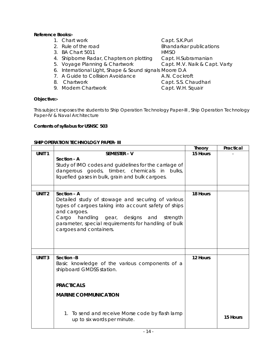# **Reference Books:-**

- 1. Chart work Capt. S.K.Puri
- 
- 3. BA Chart 5011 HMSO
- 4. Shipborne Radar, Chapters on plotting Capt. H.Subramanian
- 5. Voyage Planning & Chartwork Capt. M.V. Naik & Capt. Varty
- 6. International Light, Shape & Sound signals Moore D.A
- 7. A Guide to Collision Avoidance A.N. Cockroft
- 
- 

2. Rule of the road **Bhandarkar publications** 

- 
- 
- 
- 9. Modern Chartwork Capt. W.H. Squair

8. Chartwork Capt. S.S. Chaudhari

### **Objective:-**

This subject exposes the students to Ship Operation Technology Paper-III , Ship Operation Technology Paper-IV & Naval Architecture

### **Contents of syllabus for USNSC 503**

### **SHIP OPERATION TECHNOLOGY PAPER- III**

|                   |                                                       | <b>Theory</b> | Practical |
|-------------------|-------------------------------------------------------|---------------|-----------|
| UNIT <sub>1</sub> | SEMESTER - V                                          | 15 Hours      |           |
|                   | Section - A                                           |               |           |
|                   | Study of IMO codes and guidelines for the carriage of |               |           |
|                   | dangerous goods, timber, chemicals in<br>bulks,       |               |           |
|                   | liquefied gases in bulk, grain and bulk cargoes.      |               |           |
|                   |                                                       |               |           |
| UNIT <sub>2</sub> | Section - A                                           | 18 Hours      |           |
|                   | Detailed study of stowage and securing of various     |               |           |
|                   | types of cargoes taking into account safety of ships  |               |           |
|                   | and cargoes.                                          |               |           |
|                   | Cargo handling gear, designs and strength             |               |           |
|                   | parameter, special requirements for handling of bulk  |               |           |
|                   | cargoes and containers.                               |               |           |
|                   |                                                       |               |           |
|                   |                                                       |               |           |
|                   |                                                       |               |           |
| <b>UNIT3</b>      | Section -B                                            | 12 Hours      |           |
|                   | Basic knowledge of the various components of a        |               |           |
|                   | shipboard GMDSS station.                              |               |           |
|                   |                                                       |               |           |
|                   | <b>PRACTICALS</b>                                     |               |           |
|                   |                                                       |               |           |
|                   | <b>MARINE COMMUNICATION</b>                           |               |           |
|                   |                                                       |               |           |
|                   |                                                       |               |           |
|                   | 1. To send and receive Morse code by flash lamp       |               | 15 Hours  |
|                   | up to six words per minute.                           |               |           |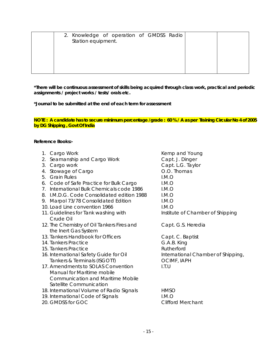| 2. Knowledge of operation of GMDSS Radio<br>Station equipment. |  |
|----------------------------------------------------------------|--|
|                                                                |  |

**\*Journal to be submitted at the end of each term for assessment** 

**NOTE : A candidate has to secure minimum percentage /grade : 60 % / A as per Training Circular No 4 of 2005 by DG Shipping , Govt Of India** 

#### **Reference Books:-**

- 
- 2. Seamanship and Cargo Work Capt. J. Dinger
- 
- 4. Stowage of Cargo **Cargo Cargo Community** O.O. Thomas
- 5. Grain Rules I.M.O
- 6. Code of Safe Practice for Bulk Cargo I.M.O
- 7. International Bulk Chemicals code 1986 I.M.O
- 8. I.M.D.G. Code Consolidated edition 1988 I.M.O
- 9. Marpol 73/78 Consolidated Edition I.M.O
- 10. Load Line convention 1966 **I.M.O**
- 11. Guidelines for Tank washing with Institute of Chamber of Shipping Crude Oil
- 12. The Chemistry of Oil Tankers Fires and Capt. G.S. Heredia the Inert Gas System
- 13. Tankers Handbook for Officers **Capt. C. Baptist**
- 14. Tankers Practice G.A.B. King
- 15. Tankers Practice **Rutherford**
- 16. International Safety Guide for Oil **International Chamber of Shipping**, Tankers & Terminals (ISGOTT) COME, IAPH
- 17. Amendments to SOLAS Convention I.T.U Manual for Maritime mobile Communication and Maritime Mobile Satellite Communication
- 18. International Volume of Radio Signals HMSO
- 19. International Code of Signals **I.M.O**
- 20. GMDSS for GOC Clifford Merchant

1. Cargo Work **Kemp and Young** Kemp and Young 3. Cargo work Capt. L.G. Taylor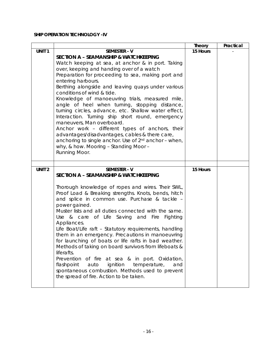# **SHIP OPERATION TECHNOLOGY -IV**

|                   |                                                                                                                     | Theory   | Practical |
|-------------------|---------------------------------------------------------------------------------------------------------------------|----------|-----------|
| UNIT <sub>1</sub> | <b>SEMESTER - V</b>                                                                                                 | 15 Hours |           |
|                   | <b>SECTION A - SEAMANSHIP &amp; WATCHKEEPING</b>                                                                    |          |           |
|                   | Watch keeping at sea, at anchor & in port. Taking                                                                   |          |           |
|                   | over, keeping and handing over of a watch                                                                           |          |           |
|                   | Preparation for proceeding to sea, making port and                                                                  |          |           |
|                   | entering harbours.                                                                                                  |          |           |
|                   | Berthing alongside and leaving quays under various                                                                  |          |           |
|                   | conditions of wind & tide.                                                                                          |          |           |
|                   | Knowledge of manoeuvring trials, measured mile,                                                                     |          |           |
|                   | angle of heel when turning, stopping distance,                                                                      |          |           |
|                   | turning circles, advance, etc. Shallow water effect,                                                                |          |           |
|                   | Interaction. Turning ship short round, emergency                                                                    |          |           |
|                   | maneuvers, Man overboard.                                                                                           |          |           |
|                   | Anchor work - different types of anchors, their                                                                     |          |           |
|                   | advantages/disadvantages, cables & there care,<br>anchoring to single anchor. Use of 2 <sup>nd</sup> anchor - when, |          |           |
|                   | why, & how. Mooring - Standing Moor -                                                                               |          |           |
|                   | Running Moor.                                                                                                       |          |           |
|                   |                                                                                                                     |          |           |
|                   |                                                                                                                     |          |           |
| UNIT <sub>2</sub> | <b>SEMESTER - V</b>                                                                                                 | 15 Hours |           |
|                   | <b>SECTION A - SEAMANSHIP &amp; WATCHKEEPING</b>                                                                    |          |           |
|                   |                                                                                                                     |          |           |
|                   | Thorough knowledge of ropes and wires. Their SWL,                                                                   |          |           |
|                   | Proof Load & Breaking strengths. Knots, bends, hitch                                                                |          |           |
|                   | and splice in common use. Purchase & tackle -                                                                       |          |           |
|                   | power gained.                                                                                                       |          |           |
|                   | Muster lists and all duties connected with the same.<br>Use & care of Life Saving and Fire Fighting                 |          |           |
|                   | Appliances.                                                                                                         |          |           |
|                   | Life Boat/Life raft - Statutory requirements, handling                                                              |          |           |
|                   | them in an emergency. Precautions in manoeuvring                                                                    |          |           |
|                   | for launching of boats or life rafts in bad weather.                                                                |          |           |
|                   | Methods of taking on board survivors from lifeboats &                                                               |          |           |
|                   | liferafts.                                                                                                          |          |           |
|                   | Prevention of fire at sea & in port. Oxidation,                                                                     |          |           |
|                   | flashpoint<br>ignition<br>temperature,<br>auto<br>and                                                               |          |           |
|                   | spontaneous combustion. Methods used to prevent                                                                     |          |           |
|                   | the spread of fire. Action to be taken.                                                                             |          |           |
|                   |                                                                                                                     |          |           |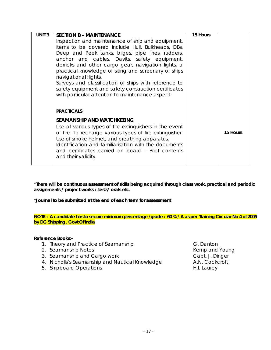| <b>UNIT 3</b> | <b>SECTION B - MAINTENANCE</b>                                                                                 | 15 Hours |          |
|---------------|----------------------------------------------------------------------------------------------------------------|----------|----------|
|               | Inspection and maintenance of ship and equipment,                                                              |          |          |
|               | items to be covered include Hull, Bulkheads, DBs,                                                              |          |          |
|               | Deep and Peek tanks, bilges, pipe lines, rudders,                                                              |          |          |
|               | anchor and cables. Davits, safety equipment,                                                                   |          |          |
|               | derricks and other cargo gear, navigation lights. a                                                            |          |          |
|               | practical knowledge of siting and screenary of ships                                                           |          |          |
|               | navigational flights.                                                                                          |          |          |
|               | Surveys and classification of ships with reference to<br>safety equipment and safety construction certificates |          |          |
|               | with particular attention to maintenance aspect.                                                               |          |          |
|               |                                                                                                                |          |          |
|               |                                                                                                                |          |          |
|               | <b>PRACTICALS</b>                                                                                              |          |          |
|               | <b>SEAMANSHIP AND WATCHKEEING</b>                                                                              |          |          |
|               | Use of various types of fire extinguishers in the event                                                        |          |          |
|               | of fire. To recharge various types of fire extinguisher.                                                       |          | 15 Hours |
|               | Use of smoke helmet, and breathing apparatus.                                                                  |          |          |
|               | Identification and familiarisation with the documents                                                          |          |          |
|               | and certificates carried on board – Brief contents                                                             |          |          |
|               | and their validity.                                                                                            |          |          |
|               |                                                                                                                |          |          |

**\*Journal to be submitted at the end of each term for assessment** 

**NOTE : A candidate has to secure minimum percentage /grade : 60 % / A as per Training Circular No 4 of 2005 by DG Shipping , Govt Of India** 

#### **Reference Books:-**

- 1. Theory and Practice of Seamanship G. Danton
- 2. Seamanship Notes **Kemp and Young** 2. Seamanship Notes
- 3. Seamanship and Cargo work Capt. J. Dinger
- 4. Nicholls's Seamanship and Nautical Knowledge A.N. Cockcroft
- 5. Shipboard Operations **H.I.** Laurey
-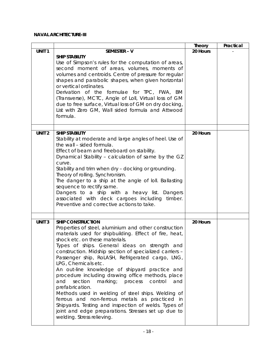# **NAVAL ARCHITECTURE-III**

|                   |                                                                                                                                                                                                                                                                                                                                                                                                                                                                                                                                                                                                                                                                                                                                                                                                                | <b>Theory</b> | Practical |
|-------------------|----------------------------------------------------------------------------------------------------------------------------------------------------------------------------------------------------------------------------------------------------------------------------------------------------------------------------------------------------------------------------------------------------------------------------------------------------------------------------------------------------------------------------------------------------------------------------------------------------------------------------------------------------------------------------------------------------------------------------------------------------------------------------------------------------------------|---------------|-----------|
| UNIT <sub>1</sub> | SEMESTER - V                                                                                                                                                                                                                                                                                                                                                                                                                                                                                                                                                                                                                                                                                                                                                                                                   | 20 Hours      |           |
|                   | <b>SHIP STABILITY</b><br>Use of Simpson's rules for the computation of areas,<br>second moment of areas, volumes, moments of<br>volumes and centroids. Centre of pressure for regular<br>shapes and parabolic shapes, when given horizontal<br>or vertical ordinates.<br>Derivation of the formulae for TPC, FWA, BM<br>(Transverse), MCTC, Angle of Loll, Virtual loss of GM<br>due to free surface, Virtual loss of GM on dry docking,<br>List with Zero GM, Wall sided formula and Attwood<br>formula.                                                                                                                                                                                                                                                                                                      |               |           |
| UNIT <sub>2</sub> | <b>SHIP STABILITY</b><br>Stability at moderate and large angles of heel. Use of<br>the wall - sided formula.<br>Effect of beam and freeboard on stability.<br>Dynamical Stability - calculation of same by the GZ<br>curve.<br>Stability and trim when dry - docking or grounding.<br>Theory of rolling. Synchronism.<br>The danger to a ship at the angle of Ioll. Ballasting<br>sequence to rectify same.<br>Dangers to a ship with a heavy list. Dangers<br>associated with deck cargoes including<br>timber.<br>Preventive and corrective actions to take.                                                                                                                                                                                                                                                 | 20 Hours      |           |
| UNIT <sub>3</sub> | <b>SHIP CONSTRUCTION</b><br>Properties of steel, aluminium and other construction<br>materials used for shipbuilding. Effect of fire, heat,<br>shock etc. on these materials.<br>Types of ships. General ideas on strength and<br>construction. Midship section of specialized carriers -<br>Passenger ship, RoLASH, Refrigerated cargo, LNG,<br>LPG, Chemicals etc.<br>An out-line knowledge of shipyard practice and<br>procedure including drawing office methods, place<br>marking;<br>control<br>section<br>process<br>and<br>and<br>prefabrication.<br>Methods used in welding of steel ships. Welding of<br>ferrous and non-ferrous metals as practiced in<br>Shipyards. Testing and inspection of welds. Types of<br>joint and edge preparations. Stresses set up due to<br>welding. Stress relieving. | 20 Hours      |           |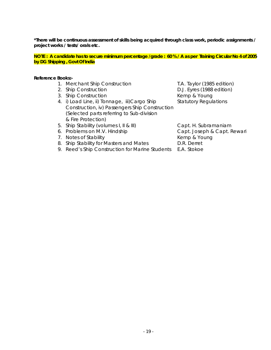**NOTE : A candidate has to secure minimum percentage /grade : 60 % / A as per Training Circular No 4 of 2005 by DG Shipping , Govt Of India** 

#### **Reference Books:-**

- 1. Merchant Ship Construction T.A. Taylor (1985 edition)
- 
- 3. Ship Construction **Kemp & Young**
- 4. i) Load Line, ii) Tonnage, iii)Cargo Ship Statutory Regulations Construction, iv) Passengers Ship Construction (Selected parts referring to Sub-division & Fire Protection)
- 2. Ship Construction **D.J. Eyres (1988 edition)**
- 5. Ship Stability (volumes I, II & III) Capt. H. Subramaniam
- 
- 7. Notes of Stability **Kemp & Young** 7.
- 8. Ship Stability for Masters and Mates **D.R. Derret**
- 9. Reed's Ship Construction for Marine Students E.A. Stokoe

6. Problems on M.V. Hindship Capt. Joseph & Capt. Rewari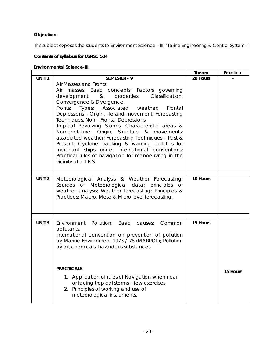# **Objective:-**

This subject exposes the students to Environment Science - III, Marine Engineering & Control System- III

# **Contents of syllabus for USNSC 504**

# **Environmental Science-III**

| <b>Environmental Science-III</b> |                                                                                                                                                                                                                                                                                                                                                                                                                                                                                                                                                                                                                                                                                               |               |           |  |  |  |  |
|----------------------------------|-----------------------------------------------------------------------------------------------------------------------------------------------------------------------------------------------------------------------------------------------------------------------------------------------------------------------------------------------------------------------------------------------------------------------------------------------------------------------------------------------------------------------------------------------------------------------------------------------------------------------------------------------------------------------------------------------|---------------|-----------|--|--|--|--|
|                                  |                                                                                                                                                                                                                                                                                                                                                                                                                                                                                                                                                                                                                                                                                               | <b>Theory</b> | Practical |  |  |  |  |
| UNIT <sub>1</sub>                | <b>SEMESTER - V</b><br>Air Masses and Fronts:<br>masses: Basic concepts; Factors governing<br>Air<br>development & properties;<br>Classification;<br>Convergence & Divergence.<br>Fronts:<br>Types;<br>Associated<br>weather;<br>Frontal<br>Depressions - Origin, life and movement; Forecasting<br>Techniques. Non - Frontal Depressions<br>Tropical Revolving Storms: Characteristic areas &<br>Nomenclature; Origin, Structure & movements;<br>associated weather; Forecasting Techniques - Past &<br>Present; Cyclone Tracking & warning bulletins for<br>merchant ships under international conventions;<br>Practical rules of navigation for manoeuvring in the<br>vicinity of a T.R.S. | 20 Hours      |           |  |  |  |  |
| UNIT <sub>2</sub>                | Meteorological Analysis & Weather Forecasting:<br>Sources of Meteorological data; principles<br>of<br>weather analysis; Weather forecasting; Principles &<br>Practices: Macro, Meso & Micro level forecasting.                                                                                                                                                                                                                                                                                                                                                                                                                                                                                | 10 Hours      |           |  |  |  |  |
| <b>UNIT 3</b>                    | Environment Pollution; Basic causes;<br>Common<br>pollutants.<br>International convention on prevention of pollution<br>by Marine Environment 1973 / 78 (MARPOL); Pollution<br>by oil, chemicals, hazardous substances<br><b>PRACTICALS</b><br>1. Application of rules of Navigation when near<br>or facing tropical storms - few exercises.<br>2. Principles of working and use of<br>meteorological instruments.                                                                                                                                                                                                                                                                            | 15 Hours      | 15 Hours  |  |  |  |  |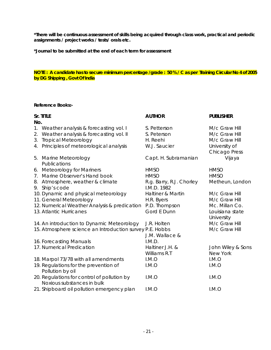**\*Journal to be submitted at the end of each term for assessment** 

### **NOTE : A candidate has to secure minimum percentage /grade : 50 % / C as per Training Circular No 4 of 2005 by DG Shipping , Govt Of India**

### **Reference Books:-**

|             | Sr. TITLE                                                | <b>AUTHOR</b>                | <b>PUBLISHER</b>     |
|-------------|----------------------------------------------------------|------------------------------|----------------------|
| No.         |                                                          |                              |                      |
| 1.          | Weather analysis & forecasting vol. I                    | S. Petterson                 | M/c Graw Hill        |
| 2.          | Weather analysis & forecasting vol. II                   | S. Peterson                  | M/c Graw Hill        |
| 3.          | <b>Tropical Meteorology</b>                              | H. Reehi                     | M/c Graw Hill        |
| 4.          | Principles of meteorological analysis                    | W.J. Saucier                 | University of        |
|             |                                                          |                              | <b>Chicago Press</b> |
| 5.          | Marine Meteorology                                       | Capt. H. Subramanian         | Vijaya               |
|             | Publications                                             |                              |                      |
| 6.          | <b>Meteorology for Mariners</b>                          | <b>HMSO</b>                  | <b>HMSO</b>          |
| $7_{\cdot}$ | Marine Observer's Hand book                              | <b>HMSO</b>                  | <b>HMSO</b>          |
|             | 8. Atmosphere, weather & climate                         | R.g. Barry, R.J. Chorley     | Metheun, London      |
|             | 9. Ship's code                                           | I.M.D. 1982                  |                      |
|             | 10. Dynamic and physical meteorology                     | <b>Haltiner &amp; Martin</b> | M/c Graw Hill        |
|             | 11. General Meteorology                                  | H.R. Byers                   | M/c Graw Hill        |
|             | 12. Numerical Weather Analysis & predication             | P.D. Thompson                | Mc. Millan Co.       |
|             | 13. Atlantic Hurricanes                                  | Gord E Dunn                  | Louisiana state      |
|             |                                                          |                              | University           |
|             | 14. An introduction to Dynamic Meteorology               | J.R. Holten                  | M/c Graw Hill        |
|             | 15. Atmosphere science an Introduction survey P.E. Hobbs |                              | M/c Graw Hill        |
|             |                                                          | J.M. Wallace &               |                      |
|             | 16. Forecasting Manuals                                  | I.M.D.                       |                      |
|             | 17. Numerical Predication                                | Haltiner J.H. &              | John Wiley & Sons    |
|             |                                                          | Williams R.T                 | <b>New York</b>      |
|             | 18. Marpol 73/78 with all amendments                     | I.M.O                        | I.M.O                |
|             | 19. Regulations for the prevention of                    | I.M.O                        | I.M.O                |
|             | Pollution by oil                                         |                              |                      |
|             | 20. Regulations for control of pollution by              | I.M.O                        | I.M.O                |
|             | Noxious substances in bulk                               |                              |                      |
|             | 21. Shipboard oil pollution emergency plan               | I.M.O                        | I.M.O                |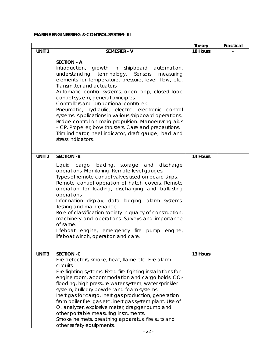# **MARINE ENGINEERING & CONTROL SYSTEM- III**

|                   |                                                                                                                                                                                                                                                                                                                                                                                                                                                                                                                                                                                                                                                                         | <b>Theory</b> | Practical |
|-------------------|-------------------------------------------------------------------------------------------------------------------------------------------------------------------------------------------------------------------------------------------------------------------------------------------------------------------------------------------------------------------------------------------------------------------------------------------------------------------------------------------------------------------------------------------------------------------------------------------------------------------------------------------------------------------------|---------------|-----------|
| UNIT <sub>1</sub> | <b>SEMESTER - V</b>                                                                                                                                                                                                                                                                                                                                                                                                                                                                                                                                                                                                                                                     | 18 Hours      |           |
|                   | <b>SECTION - A</b><br>Introduction, growth in shipboard automation,<br>terminology. Sensors<br>understanding<br>measuring<br>elements for temperature, pressure, level, flow, etc.<br>Transmitter and actuators.<br>Automatic control systems, open loop, closed loop<br>control system, general principles.<br>Controllers and proportional controller.<br>Pneumatic, hydraulic, electric, electronic control<br>systems. Applications in various shipboard operations.<br>Bridge control on main propulsion. Manoeuvring aids<br>- CP. Propeller, bow thrusters. Care and precautions.<br>Trim indicator, heel indicator, draft gauge, load and<br>stress indicators. |               |           |
| UNIT <sub>2</sub> | <b>SECTION -B</b>                                                                                                                                                                                                                                                                                                                                                                                                                                                                                                                                                                                                                                                       | 14 Hours      |           |
|                   | cargo loading, storage and discharge<br>Liquid<br>operations. Monitoring. Remote level gauges.<br>Types of remote control valves used on board ships.<br>Remote control operation of hatch covers. Remote<br>operation for loading, discharging and ballasting<br>operations.<br>Information display, data logging, alarm systems.<br>Testing and maintenance.<br>Role of classification society in quality of construction,<br>machinery and operations. Surveys and importance<br>of same.<br>Lifeboat engine, emergency fire pump engine,<br>lifeboat winch, operation and care.                                                                                     |               |           |
|                   |                                                                                                                                                                                                                                                                                                                                                                                                                                                                                                                                                                                                                                                                         |               |           |
| <b>UNIT 3</b>     | <b>SECTION -C</b><br>Fire detectors, smoke, heat, flame etc. Fire alarm<br>circuits.<br>Fire fighting systems: Fixed fire fighting installations for<br>engine room, accommodation and cargo holds. CO <sub>2</sub><br>flooding, high pressure water system, water sprinkler<br>system, bulk dry powder and foam systems.<br>Inert gas for cargo. Inert gas production, generation<br>from boiler fuel gas etc. inert gas system plant. Use of<br>O <sub>2</sub> analyzer, explosive meter, dragger pump and<br>other portable measuring instruments.<br>Smoke helmets, breathing apparatus, fire suits and<br>other safety equipments.                                 | 13 Hours      |           |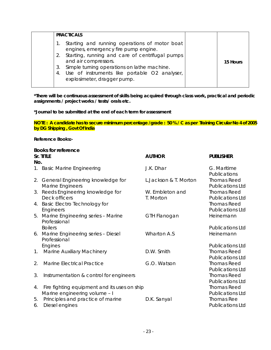| <b>PRACTICALS</b>                                                                                                                                                                                                                                                                                                 |          |
|-------------------------------------------------------------------------------------------------------------------------------------------------------------------------------------------------------------------------------------------------------------------------------------------------------------------|----------|
| Starting and running operations of motor boat<br>engines, emergency fire pump engine.<br>Starting, running and care of centrifugal pumps<br>2.<br>and air compressors.<br>Simple turning operations on lathe machine.<br>3.<br>Use of instruments like portable O2 analyser,<br>4.<br>explosimeter, dragger pump. | 15 Hours |
|                                                                                                                                                                                                                                                                                                                   |          |

### **\*Journal to be submitted at the end of each term for assessment**

**NOTE : A candidate has to secure minimum percentage /grade : 50 % / C as per Training Circular No 4 of 2005 by DG Shipping , Govt Of India**

#### **Reference Books:-**

|                | <b>Books for reference</b>                                                    |                              |                                               |
|----------------|-------------------------------------------------------------------------------|------------------------------|-----------------------------------------------|
|                | Sr. TITLE                                                                     | <b>AUTHOR</b>                | <b>PUBLISHER</b>                              |
| No.            |                                                                               |                              |                                               |
|                | 1. Basic Marine Engineering                                                   | J.K. Dhar                    | G. Maritime<br>Publications                   |
|                | 2. General Engineering knowledge for<br>Marine Engineers                      | L. Jackson & T. Morton       | <b>Thomas Reed</b><br><b>Publications Ltd</b> |
| 3.             | Reeds Engineering knowledge for<br>Deck officers                              | W. Embleton and<br>T. Morton | <b>Thomas Reed</b><br><b>Publications Ltd</b> |
| 4.             | <b>Basic Electro Technology for</b><br>Engineers                              |                              | <b>Thomas Reed</b><br><b>Publications Ltd</b> |
| 5.             | Marine Engineering series - Marine<br>Professional                            | GTH Flanogan                 | Heinemann                                     |
|                | <b>Boilers</b>                                                                |                              | <b>Publications Ltd</b>                       |
|                | 6. Marine Engineering series - Diesel<br>Professional                         | <b>Wharton A.S</b>           | Heinemann                                     |
|                | Engines                                                                       |                              | <b>Publications Ltd</b>                       |
| 1 <sub>1</sub> | Marine Auxiliary Machinery                                                    | D.W. Smith                   | <b>Thomas Reed</b><br><b>Publications Ltd</b> |
| 2.             | <b>Marine Electrical Practice</b>                                             | G.O. Watson                  | <b>Thomas Reed</b><br><b>Publications Ltd</b> |
| 3.             | Instrumentation & control for engineers                                       |                              | <b>Thomas Reed</b><br><b>Publications Ltd</b> |
| 4.             | Fire fighting equipment and its uses on ship<br>Marine engineering volume - I |                              | <b>Thomas Reed</b><br><b>Publications Ltd</b> |
| 5.<br>6.       | Principles and practice of marine<br>Diesel engines                           | D.K. Sanyal                  | Thomas Ree<br><b>Publications Ltd</b>         |
|                |                                                                               |                              |                                               |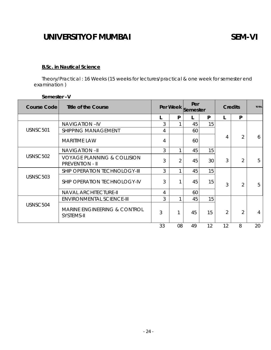# **B.Sc. in Nautical Science**

Theory/Practical : 16 Weeks (15 weeks for lectures/practical & one week for semester end examination )

| <b>Course Code</b> | <b>Title of the Course</b>                                       | Per Week |                | Per<br>Semester |    | <b>Credits</b> |                | <b>TOTAL</b> |
|--------------------|------------------------------------------------------------------|----------|----------------|-----------------|----|----------------|----------------|--------------|
|                    |                                                                  |          | P              |                 | P  |                | P              |              |
|                    | <b>NAVIGATION-IV</b>                                             | 3        |                | 45              | 15 |                |                |              |
| USNSC501           | <b>SHIPPING MANAGEMENT</b>                                       | 4        |                | 60              |    |                |                |              |
|                    | <b>MARITIME LAW</b>                                              | 4        |                | 60              |    | 4              | $\overline{2}$ | 6            |
|                    | <b>NAVIGATION-II</b>                                             | 3        | 1              | 45              | 15 |                |                |              |
| USNSC502           | <b>VOYAGE PLANNING &amp; COLLISION</b><br><b>PREVENTION - II</b> | 3        | $\overline{2}$ | 45              | 30 | 3              | $\overline{2}$ | 5            |
|                    | SHIP OPERATION TECHNOLOGY-III                                    | 3        |                | 45              | 15 |                |                |              |
| USNSC503           | SHIP OPERATION TECHNOLOGY-IV                                     | 3        |                | 45              | 15 | 3              | $\overline{2}$ | 5            |
|                    | <b>NAVAL ARCHITECTURE-II</b>                                     | 4        |                | 60              |    |                |                |              |
|                    | <b>ENVIRONMENTAL SCIENCE-III</b>                                 | 3        |                | 45              | 15 |                |                |              |
| USNSC504           | <b>MARINE ENGINEERING &amp; CONTROL</b><br>SYSTEMS-II            | 3        | 1              | 45              | 15 | $\overline{2}$ | $\overline{2}$ | 4            |
|                    |                                                                  | 33       | 08             | 49              | 12 | 12             | 8              | 20           |

# **Semester –V**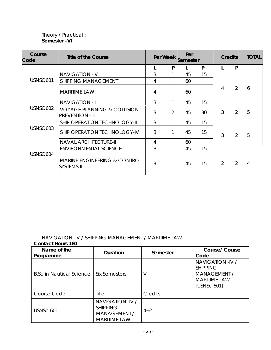# Theory / Practical : **Semester –VI**

| Course<br>Code | Title of the Course                                              | Per Week |   | Per<br>Semester |    | <b>Credits</b> |                | <b>TOTAL</b> |
|----------------|------------------------------------------------------------------|----------|---|-----------------|----|----------------|----------------|--------------|
|                |                                                                  |          | P |                 | P  |                | P              |              |
|                | <b>NAVIGATION -IV</b>                                            | 3        |   | 45              | 15 |                |                |              |
| USNSC601       | <b>SHIPPING MANAGEMENT</b>                                       | 4        |   | 60              |    |                |                |              |
|                | <b>MARITIME LAW</b>                                              | 4        |   | 60              |    | 4              | 2              | 6            |
|                | <b>NAVIGATION -II</b>                                            | 3        |   | 45              | 15 |                |                |              |
| USNSC602       | <b>VOYAGE PLANNING &amp; COLLISION</b><br><b>PREVENTION - II</b> | 3        | 2 | 45              | 30 | 3              | $\overline{2}$ | 5            |
|                | SHIP OPERATION TECHNOLOGY-II                                     | 3        |   | 45              | 15 |                |                |              |
| USNSC603       | SHIP OPERATION TECHNOLOGY-IV                                     | 3        |   | 45              | 15 | 3              | $\overline{2}$ | 5            |
|                | <b>NAVAL ARCHITECTURE-II</b>                                     | 4        |   | 60              |    |                |                |              |
|                | <b>ENVIRONMENTAL SCIENCE-III</b>                                 | 3        |   | 45              | 15 |                |                |              |
| USNSC604       | <b>MARINE ENGINEERING &amp; CONTROL</b><br>SYSTEMS-II            | 3        |   | 45              | 15 | $\overline{2}$ | 2              | 4            |

# NAVIGATION -IV **/** SHIPPING MANAGEMENT **/** MARITIME LAW

| <b>Contact Hours 180</b> |  |
|--------------------------|--|
|                          |  |

| Name of the<br>Programme        | Duration                                                                          | Semester | Course/Course<br>Code                                                                            |
|---------------------------------|-----------------------------------------------------------------------------------|----------|--------------------------------------------------------------------------------------------------|
| <b>B.Sc in Nautical Science</b> | Six Semesters                                                                     | V        | NAVIGATION -IV /<br><b>SHIPPING</b><br><b>MANAGEMENT /</b><br><b>MARITIME LAW</b><br>[USNSc 601] |
| Course Code                     | Title                                                                             | Credits  |                                                                                                  |
| USNSc 601                       | NAVIGATION -IV /<br><b>SHIPPING</b><br><b>MANAGEMENT /</b><br><b>MARITIME LAW</b> | $4 + 2$  |                                                                                                  |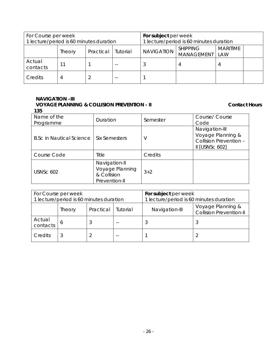| For Course per week                     |        |           |                                         | For subject per week                                                                |   |  |  |
|-----------------------------------------|--------|-----------|-----------------------------------------|-------------------------------------------------------------------------------------|---|--|--|
| 1 lecture/period is 60 minutes duration |        |           | 1 lecture/period is 60 minutes duration |                                                                                     |   |  |  |
|                                         | Theory | Practical | Tutorial                                | <b>MARITIME</b><br><b>SHIPPING</b><br><b>NAVIGATION</b><br><b>MANAGEMENT</b><br>LAW |   |  |  |
| Actual<br>contacts                      | 11     |           |                                         |                                                                                     | 4 |  |  |
| Credits                                 | 4      |           |                                         |                                                                                     |   |  |  |

# **NAVIGATION –III VOYAGE PLANNING & COLLISION PREVENTION - II** CONTACT HOURS

| 135                             |                                                                  |          |                                                                                   |
|---------------------------------|------------------------------------------------------------------|----------|-----------------------------------------------------------------------------------|
| Name of the<br>Programme        | Duration                                                         | Semester | Course/ Course<br>Code                                                            |
| <b>B.Sc in Nautical Science</b> | <b>Six Semesters</b>                                             | V        | Navigation-III<br>Voyage Planning &<br>Collision Prevention -<br>$II$ [USNSc 602] |
| Course Code                     | Title                                                            | Credits  |                                                                                   |
| <b>USNSc 602</b>                | Navigation-II<br>Voyage Planning<br>& Collision<br>Prevention-II | $3 + 2$  |                                                                                   |

| For Course per week<br>1 lecture/period is 60 minutes duration |        |           |          | For subject per week<br>1 lecture/period is 60 minutes duration |                                                     |  |
|----------------------------------------------------------------|--------|-----------|----------|-----------------------------------------------------------------|-----------------------------------------------------|--|
|                                                                | Theory | Practical | Tutorial | Navigation-III                                                  | Voyage Planning &<br><b>Collision Prevention-II</b> |  |
| Actual<br>contacts                                             | b      |           |          |                                                                 |                                                     |  |
| Credits                                                        | 3      |           |          |                                                                 |                                                     |  |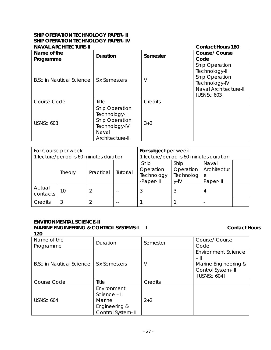# **SHIP OPERATION TECHNOLOGY PAPER- II SHIP OPERATION TECHNOLOGY PAPER- IV**

| <b>NAVAL ARCHITECTURE-II</b>    | <b>Contact Hours 180</b>                                                                       |          |                                                                                                            |
|---------------------------------|------------------------------------------------------------------------------------------------|----------|------------------------------------------------------------------------------------------------------------|
| Name of the<br>Programme        | <b>Duration</b>                                                                                | Semester | <b>Course/ Course</b><br>Code                                                                              |
| <b>B.Sc in Nautical Science</b> | <b>Six Semesters</b>                                                                           | V        | Ship Operation<br>Technology-II<br>Ship Operation<br>Technology-IV<br>Naval Architecture-II<br>[USNSc 603] |
| Course Code                     | Title                                                                                          | Credits  |                                                                                                            |
| <b>USNSc 603</b>                | Ship Operation<br>Technology-II<br>Ship Operation<br>Technology-IV<br>Naval<br>Architecture-II | $3 + 2$  |                                                                                                            |

| For Course per week<br>1 lecture/period is 60 minutes duration |        |           | For subject per week<br>1 lecture/period is 60 minutes duration |                                              |                                           |                                       |  |
|----------------------------------------------------------------|--------|-----------|-----------------------------------------------------------------|----------------------------------------------|-------------------------------------------|---------------------------------------|--|
|                                                                | Theory | Practical | Tutorial                                                        | Ship<br>Operation<br>Technology<br>-Paper-II | Ship<br>Operation<br>Technolog<br>$V$ -IV | Naval<br>Architectur<br>e<br>Paper-II |  |
| Actual<br>contacts                                             | 10     |           |                                                                 |                                              |                                           | 4                                     |  |
| Credits                                                        | 3      |           |                                                                 |                                              |                                           |                                       |  |

#### **ENVIRONMENTAL SCIENCE-II MARINE ENGINEERING & CONTROL SYSTEMS-I I I** Contact Hours **120**

| Name of the<br>Programme        | Duration                                                                    | Semester | Course/ Course<br>Code                                                                            |
|---------------------------------|-----------------------------------------------------------------------------|----------|---------------------------------------------------------------------------------------------------|
| <b>B.Sc in Nautical Science</b> | <b>Six Semesters</b>                                                        | V        | <b>Environment Science</b><br>$-$ II<br>Marine Engineering &<br>Control System- II<br>[USNSc 604] |
| Course Code                     | Title                                                                       | Credits  |                                                                                                   |
| USNSc 604                       | Environment<br>Science - II<br>Marine<br>Engineering &<br>Control System-II | $2 + 2$  |                                                                                                   |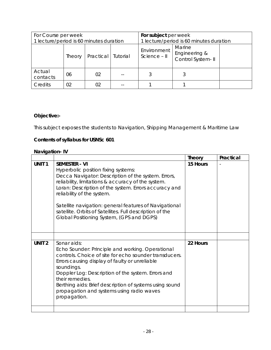| For Course per week                     | For subject per week |                      |  |                             |                                              |  |
|-----------------------------------------|----------------------|----------------------|--|-----------------------------|----------------------------------------------|--|
| 1 lecture/period is 60 minutes duration |                      |                      |  |                             | 1 lecture/period is 60 minutes duration      |  |
|                                         | Theory               | Practical   Tutorial |  | Environment<br>Science - II | Marine<br>Engineering &<br>Control System-II |  |
| Actual<br>contacts                      | 06                   | 02                   |  |                             |                                              |  |
| Credits                                 | 02                   | 02                   |  |                             |                                              |  |

# **Objective:-**

This subject exposes the students to Navigation, Shipping Management & Maritime Law

# **Contents of syllabus for USNSc 601**

# **Navigation- IV**

|                   |                                                                                                                                                                                                                                                                                                                                                                                                                                    | <b>Theory</b> | Practical |
|-------------------|------------------------------------------------------------------------------------------------------------------------------------------------------------------------------------------------------------------------------------------------------------------------------------------------------------------------------------------------------------------------------------------------------------------------------------|---------------|-----------|
| UNIT <sub>1</sub> | <b>SEMESTER - VI</b><br>Hyperbolic position fixing systems:<br>Decca Navigator: Description of the system. Errors,<br>reliability, limitations & accuracy of the system.<br>Loran: Description of the system. Errors accuracy and<br>reliability of the system.<br>Satellite navigation: general features of Navigational<br>satellite. Orbits of Satellites. Full description of the<br>Global Positioning System, (GPS and DGPS) | 15 Hours      |           |
|                   |                                                                                                                                                                                                                                                                                                                                                                                                                                    |               |           |
| UNIT <sub>2</sub> | Sonar aids:<br>Echo Sounder: Principle and working. Operational<br>controls. Choice of site for echo sounder transducers.<br>Errors causing display of faulty or unreliable<br>soundings.<br>Doppler Log: Description of the system. Errors and<br>their remedies.<br>Berthing aids: Brief description of systems using sound<br>propagation and systems using radio waves<br>propagation.                                         | 22 Hours      |           |
|                   |                                                                                                                                                                                                                                                                                                                                                                                                                                    |               |           |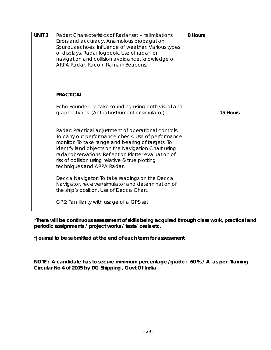| <b>UNIT 3</b> | Radar: Characteristics of Radar set – its limitations.<br>Errors and accuracy. Anamolous propagation.<br>Spurious echoes. Influence of weather. Various types<br>of displays. Radar logbook. Use of radar for<br>navigation and collision avoidance, knowledge of<br>ARPA Radar. Racon, Ramark Beacons.                                                          | 8 Hours |          |
|---------------|------------------------------------------------------------------------------------------------------------------------------------------------------------------------------------------------------------------------------------------------------------------------------------------------------------------------------------------------------------------|---------|----------|
|               | <b>PRACTICAL</b>                                                                                                                                                                                                                                                                                                                                                 |         |          |
|               | Echo Sounder: To take sounding using both visual and<br>graphic types. (Actual instrument or simulator).                                                                                                                                                                                                                                                         |         | 15 Hours |
|               | Radar: Practical adjustment of operational controls.<br>To carry out performance check. Use of performance<br>monitor. To take range and bearing of targets. To<br>identify land objects on the Navigation Chart using<br>radar observations. Reflection Plotter evaluation of<br>risk of collision using relative & true plotting<br>techniques and ARPA Radar. |         |          |
|               | Decca Navigator: To take readings on the Decca<br>Navigator, receiver/simulator and determination of<br>the ship's position. Use of Decca Chart.<br>GPS: Familiarity with usage of a GPS set.                                                                                                                                                                    |         |          |

**\*Journal to be submitted at the end of each term for assessment** 

**NOTE : A candidate has to secure minimum percentage /grade : 60 % / A as per Training Circular No 4 of 2005 by DG Shipping , Govt Of India**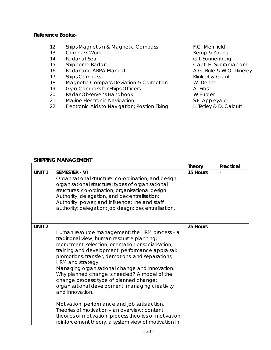# **Reference Books:-**

- 12. Ships Magnetism & Magnetic Compass F.G. Merrifield
- 13. Compass Work **Kemp & Young** Compass Work **Kemp & Young**
- 14. Radar at Sea G.I. Sonnenberg
- 15. Shipborne Radar **Capt. H. Subramaniam**
- 16. Radar and ARPA Manual **A.G. Bole & W.O. Dineley**
- 17. Ships Compass **Klinkert & Grant**
- 18. Magnetic Compass Deviation & Correction W. Denne
- 19. Gyro Compass for Ships Officers **A. Frost**
- 20. Radar Observer's Handbook W.Burger
- 
- 21. Marine Electronic Navigation<br>22. Electronic Aids to Navigation; Position Fixing L. Tetley & D. Calcutt 22. Electronic Aids to Navigation; Position Fixing

### **SHIPPING MANAGEMENT**

|                   |                                                                                                                                                                                                                                                                                                                                                                                                                                                                                                                                                                                                                                                                                                                             | <b>Theory</b> | Practical |
|-------------------|-----------------------------------------------------------------------------------------------------------------------------------------------------------------------------------------------------------------------------------------------------------------------------------------------------------------------------------------------------------------------------------------------------------------------------------------------------------------------------------------------------------------------------------------------------------------------------------------------------------------------------------------------------------------------------------------------------------------------------|---------------|-----------|
| <b>UNIT1</b>      | <b>SEMESTER - VI</b><br>Organisational structure, co-ordination, and design:<br>organisational structure; types of organisational<br>structures; co-ordination; organisational design.<br>Authority, delegation, and decentralisation:<br>Authority, power, and influence; line and staff<br>authority; delegation; job design; decentralisation.                                                                                                                                                                                                                                                                                                                                                                           | 15 Hours      |           |
| UNIT <sub>2</sub> | Human resource management: the HRM process - a<br>traditional view; human resource planning;<br>recruitment; selection, orientation or socialisation,<br>training and development; performance appraisal;<br>promotions, transfer, demotions, and separations;<br>HRM and strategy.<br>Managing organisational change and innovation.<br>Why planned change is needed? A model of the<br>change process; type of planned change;<br>organisational development; managing creativity<br>and innovation.<br>Motivation, performance and job satisfaction.<br>Theories of motivation - an overview; content<br>theories of motivation; process theories of motivation;<br>reinforcement theory, a system view of motivation in | 25 Hours      |           |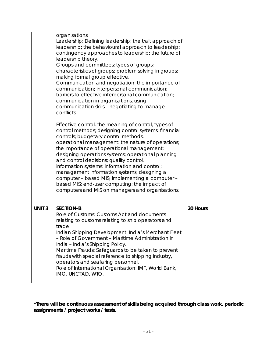|               | organisations.<br>Leadership: Defining leadership; the trait approach of<br>leadership; the behavioural approach to leadership;<br>contingency approaches to leadership; the future of<br>leadership theory.<br>Groups and committees: types of groups;<br>characteristics of groups; problem solving in groups;<br>making formal group effective.<br>Communication and negotiation: the importance of<br>communication; interpersonal communication;<br>barriers to effective interpersonal communication;<br>communication in organisations, using<br>communication skills - negotiating to manage<br>conflicts.<br>Effective control: the meaning of control; types of<br>control methods; designing control systems; financial<br>controls; budgetary control methods.<br>operational management: the nature of operations;<br>the importance of operational management;<br>designing operations systems; operational planning<br>and control decisions; quality control.<br>information systems: information and control;<br>management information systems; designing a<br>computer - based MIS; implementing a computer -<br>based MIS; end-user computing; the impact of<br>computers and MIS on managers and organisations. |          |  |
|---------------|--------------------------------------------------------------------------------------------------------------------------------------------------------------------------------------------------------------------------------------------------------------------------------------------------------------------------------------------------------------------------------------------------------------------------------------------------------------------------------------------------------------------------------------------------------------------------------------------------------------------------------------------------------------------------------------------------------------------------------------------------------------------------------------------------------------------------------------------------------------------------------------------------------------------------------------------------------------------------------------------------------------------------------------------------------------------------------------------------------------------------------------------------------------------------------------------------------------------------------------|----------|--|
| <b>UNIT 3</b> | <b>SECTION-B</b>                                                                                                                                                                                                                                                                                                                                                                                                                                                                                                                                                                                                                                                                                                                                                                                                                                                                                                                                                                                                                                                                                                                                                                                                                     | 20 Hours |  |
|               | Role of Customs: Customs Act and documents<br>relating to customs relating to ship operators and<br>trade.<br>Indian Shipping Development: India's Merchant Fleet<br>- Role of Government - Maritime Administration in<br>India - India's Shipping Policy.<br>Maritime Frauds: Safeguards to be taken to prevent<br>frauds with special reference to shipping industry,<br>operators and seafaring personnel.<br>Role of International Organisation: IMF, World Bank,<br>IMO, UNCTAD, WTO.                                                                                                                                                                                                                                                                                                                                                                                                                                                                                                                                                                                                                                                                                                                                           |          |  |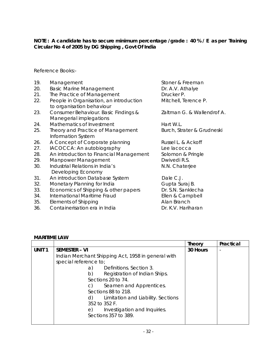# **NOTE : A candidate has to secure minimum percentage /grade : 40 % / E as per Training Circular No 4 of 2005 by DG Shipping , Govt Of India**

Reference Books:-

| 19. | Management                                                           | Stoner & Freeman           |
|-----|----------------------------------------------------------------------|----------------------------|
| 20. | <b>Basic Marine Management</b>                                       | Dr. A.V. Athalye           |
| 21. | The Practice of Management                                           | Drucker P.                 |
| 22. | People in Organisation, an introduction<br>to organisation behaviour | Mitchell, Terence P.       |
| 23. | Consumer Behaviour. Basic Findings &<br>Manegerial implegations      | Zaltman G. & Wallendrof A. |
| 24. | Mathematics of Investment                                            | Hart W.L.                  |
| 25. | Theory and Practice of Management<br>Information System              | Burch, Strater & Grudneski |
| 26. | A Concept of Corporate planning                                      | Russel L. & Ackoff         |
| 27. | IACOCCA: An autobiography                                            | Lee lacocca                |
| 28. | An introduction to Financial Management                              | Solomon & Pringle          |
| 29. | Manpower Management                                                  | Dwivedi R.S.               |
| 30. | Industrial Relations in India's<br>Developing Economy                | N.N. Chaterjee             |
| 31. | An introduction Database System                                      | Dale C.J.                  |
| 32. | Monetary Planning for India                                          | Gupta Suraj B.             |
| 33. | Economics of Shipping & other papers                                 | Dr. S.N. Sanklecha         |
| 34. | International Maritime Fraud                                         | Ellen & Campbell           |
| 35. | Elements of Shipping                                                 | Alan Branch                |
| 36. | Containerisation era in India                                        | Dr. K.V. Hariharan         |

# **MARITIME LAW**

|                   |                                                    | Theory   | Practical |
|-------------------|----------------------------------------------------|----------|-----------|
| UNIT <sub>1</sub> | <b>SEMESTER – VI</b>                               | 30 Hours |           |
|                   | Indian Merchant Shipping Act, 1958 in general with |          |           |
|                   | special reference to;                              |          |           |
|                   | Definitions. Section 3.<br>a)                      |          |           |
|                   | b)<br>Registration of Indian Ships.                |          |           |
|                   | Sections 20 to 74.                                 |          |           |
|                   | Seamen and Apprentices.<br>C)                      |          |           |
|                   | Sections 88 to 218.                                |          |           |
|                   | Limitation and Liability. Sections<br>d)           |          |           |
|                   | 352 to 352 F.                                      |          |           |
|                   | Investigation and Inquiries.<br>e)                 |          |           |
|                   | Sections 357 to 389.                               |          |           |
|                   |                                                    |          |           |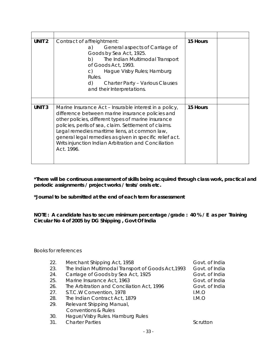| UNIT <sub>2</sub> | Contract of affreightment:<br>General aspects of Carriage of<br>a)<br>Goods by Sea Act, 1925.<br>The Indian Multimodal Transport<br>b)<br>of Goods Act, 1993.<br>Hague Visby Rules; Hamburg<br>$\mathsf{C}$<br>Rules.<br>d)<br><b>Charter Party - Various Clauses</b><br>and their Interpretations.                                                                                                          | 15 Hours |
|-------------------|--------------------------------------------------------------------------------------------------------------------------------------------------------------------------------------------------------------------------------------------------------------------------------------------------------------------------------------------------------------------------------------------------------------|----------|
|                   |                                                                                                                                                                                                                                                                                                                                                                                                              |          |
| <b>UNIT3</b>      | Marine Insurance Act - Insurable interest in a policy,<br>difference between marine insurance policies and<br>other policies, different types of marine insurance<br>policies, perils of sea, claim. Settlement of claims.<br>Legal remedies maritime liens, at common law,<br>general legal remedies as given in specific relief act.<br>Writs injunction Indian Arbitration and Conciliation<br>Act. 1996. | 15 Hours |

**\*Journal to be submitted at the end of each term for assessment** 

**NOTE : A candidate has to secure minimum percentage /grade : 40 % / E as per Training Circular No 4 of 2005 by DG Shipping , Govt Of India** 

Books for references

| 22. | Merchant Shipping Act, 1958                        | Govt. of India |
|-----|----------------------------------------------------|----------------|
| 23. | The Indian Multimodal Transport of Goods Act, 1993 | Govt. of India |
| 24. | Carriage of Goods by Sea Act, 1925                 | Govt. of India |
| 25. | Marine Insurance Act, 1963                         | Govt. of India |
| 26. | The Arbitration and Conciliation Act, 1996         | Govt. of India |
| 27. | S.T.C.W Convention, 1978                           | LM.O           |
| 28. | The Indian Contract Act, 1879                      | I.M.O          |
| 29. | Relevant Shipping Manual,                          |                |
|     | <b>Conventions &amp; Rules</b>                     |                |
| 30. | Hague/Visby Rules. Hamburg Rules                   |                |
| 31. | <b>Charter Parties</b>                             | Scrutton       |
|     |                                                    |                |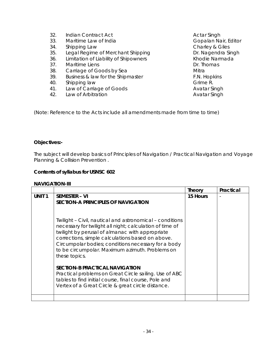32. Indian Contract Act **Actar Singh** Actar Singh 33. Maritime Law of India **Gopalan Nair, Editor** Gopalan Nair, Editor 34. Shipping Law Charley & Giles 35. Legal Regime of Merchant Shipping **Dr. Nagendra Singh** 36. Limitation of Liability of Shipowners **Khodie Narmada** 37. Maritime Liens **Dr. Thomas** 38. Carriage of Goods by Sea **Mitra** Mitra 39. Business & law for the Shipmaster The F.N. Hopkins 40. Shipping law Grime R. 41. Law of Carriage of Goods **Avatar Singh** 42. Law of Arbitration **Avatar Singh** 

(Note: Reference to the Acts include all amendments made from time to time)

# **Objectives:-**

The subject will develop basics of Principles of Navigation / Practical Navigation and Voyage Planning & Collision Prevention .

### **Contents of syllabus for USNSC 602**

#### **NAVIGATION-III**

|                   |                                                                                                                                                                                                                                                                                                                                                        | <b>Theory</b> | Practical |
|-------------------|--------------------------------------------------------------------------------------------------------------------------------------------------------------------------------------------------------------------------------------------------------------------------------------------------------------------------------------------------------|---------------|-----------|
| UNIT <sub>1</sub> | <b>SEMESTER – VI</b><br><b>SECTION-A PRINCIPLES OF NAVIGATION</b>                                                                                                                                                                                                                                                                                      | 15 Hours      |           |
|                   | Twilight - Civil, nautical and astronomical - conditions<br>necessary for twilight all night; calculation of time of<br>twilight by perusal of almanac with appropriate<br>corrections, simple calculations based on above.<br>Circumpolar bodies; conditions necessary for a body<br>to be circumpolar. Maximum azimuth. Problems on<br>these topics. |               |           |
|                   | <b>SECTION-B PRACTICAL NAVIGATION</b><br>Practical problems on Great Circle sailing. Use of ABC<br>tables to find initial course, final course, Pole and<br>Vertex of a Great Circle & great circle distance.                                                                                                                                          |               |           |
|                   |                                                                                                                                                                                                                                                                                                                                                        |               |           |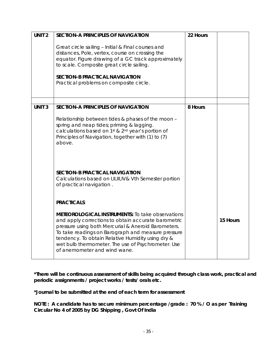| UNIT <sub>2</sub> | <b>SECTION-A PRINCIPLES OF NAVIGATION</b>                                                                                                                                                                                                                                                                                                                              | 22 Hours |          |
|-------------------|------------------------------------------------------------------------------------------------------------------------------------------------------------------------------------------------------------------------------------------------------------------------------------------------------------------------------------------------------------------------|----------|----------|
|                   | Great circle sailing - Initial & Final courses and<br>distances, Pole, vertex, course on crossing the<br>equator. Figure drawing of a GC track approximately<br>to scale. Composite great circle sailing.<br><b>SECTION-B PRACTICAL NAVIGATION</b><br>Practical problems on composite circle.                                                                          |          |          |
|                   |                                                                                                                                                                                                                                                                                                                                                                        |          |          |
| <b>UNIT3</b>      | <b>SECTION-A PRINCIPLES OF NAVIGATION</b>                                                                                                                                                                                                                                                                                                                              | 8 Hours  |          |
|                   | Relationship between tides & phases of the moon -<br>spring and neap tides; priming & lagging.<br>calculations based on 1 <sup>st</sup> & 2 <sup>nd</sup> year's portion of<br>Principles of Navigation, together with (1) to (7)<br>above.                                                                                                                            |          |          |
|                   | <b>SECTION-B PRACTICAL NAVIGATION</b><br>Calculations based on I, II, III, IV& Vth Semester portion<br>of practical navigation.                                                                                                                                                                                                                                        |          |          |
|                   | <b>PRACTICALS</b>                                                                                                                                                                                                                                                                                                                                                      |          |          |
|                   | <b>METEOROLOGICAL INSTRUMENTS:</b> To take observations<br>and apply corrections to obtain accurate barometric<br>pressure using both Mercurial & Aneroid Barometers.<br>To take readings on Barograph and measure pressure<br>tendency. To obtain Relative Humidity using dry &<br>wet bulb thermometer. The use of Psychrometer. Use<br>of anemometer and wind wane. |          | 15 Hours |

**\*Journal to be submitted at the end of each term for assessment** 

**NOTE : A candidate has to secure minimum percentage /grade : 70 % / O as per Training Circular No 4 of 2005 by DG Shipping , Govt Of India**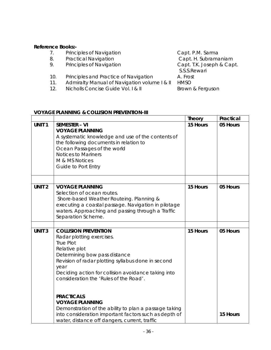# **Reference Books:-**

- 
- 8. Practical Navigation **Capt. H. Subramaniam**
- 9. Principles of Navigation **Capt. T.K. Joseph & Capt.**
- 10. Principles and Practice of Navigation A. Frost
- 11. Admiralty Manual of Navigation volume | & II HMSO<br>12. Nicholls Concise Guide Vol. | & II Brown & Ferguson
- 12. Nicholls Concise Guide Vol. I & II

7. Principles of Navigation **Capt. P.M. Sarma**<br>8. Practical Navigation Capt. H. Subrama S.S.S.Rewari

# **VOYAGE PLANNING & COLLISION PREVENTION-III**

|                   |                                                                                                                                                                                                                                                                                               | <b>Theory</b> | Practical |
|-------------------|-----------------------------------------------------------------------------------------------------------------------------------------------------------------------------------------------------------------------------------------------------------------------------------------------|---------------|-----------|
| UNIT <sub>1</sub> | <b>SEMESTER - VI</b><br><b>VOYAGE PLANNING</b><br>A systematic knowledge and use of the contents of<br>the following documents in relation to<br>Ocean Passages of the world<br><b>Notices to Mariners</b><br>M & MS Notices<br>Guide to Port Entry                                           | 15 Hours      | 05 Hours  |
| UNIT <sub>2</sub> | <b>VOYAGE PLANNING</b><br>Selection of ocean routes.<br>Shore-based Weather Routeing. Planning &<br>executing a coastal passage. Navigation in pilotage<br>waters. Approaching and passing through a Traffic<br>Separation Scheme.                                                            | 15 Hours      | 05 Hours  |
|                   |                                                                                                                                                                                                                                                                                               |               |           |
| <b>UNIT 3</b>     | <b>COLLISION PREVENTION</b><br>Radar plotting exercises.<br><b>True Plot</b><br>Relative plot<br>Determining bow pass distance<br>Revision of radar plotting syllabus done in second<br>year<br>Deciding action for collision avoidance taking into<br>consideration the 'Rules of the Road'. | 15 Hours      | 05 Hours  |
|                   | <b>PRACTICALS</b><br><b>VOYAGE PLANNING</b><br>Demonstration of the ability to plan a passage taking<br>into consideration important factors such as depth of<br>water, distance off dangers, current, traffic                                                                                |               | 15 Hours  |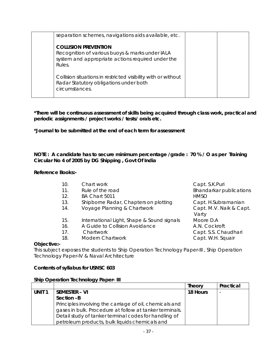| separation schemes, navigations aids available, etc.                                                                                          |  |
|-----------------------------------------------------------------------------------------------------------------------------------------------|--|
| <b>COLLISION PREVENTION</b><br>Recognition of various buoys & marks under IALA<br>system and appropriate actions required under the<br>Rules. |  |
| Collision situations in restricted visibility with or without<br>Radar Statutory obligations under both<br>circumstances.                     |  |

**\*Journal to be submitted at the end of each term for assessment** 

**NOTE : A candidate has to secure minimum percentage /grade : 70 % / O as per Training Circular No 4 of 2005 by DG Shipping , Govt Of India** 

**Reference Books:-** 

| 10. | Chart work                                 | Capt. S.K.Puri          |
|-----|--------------------------------------------|-------------------------|
| 11. | Rule of the road                           | Bhandarkar publications |
| 12. | BA Chart 5011                              | <b>HMSO</b>             |
| 13. | Shipborne Radar, Chapters on plotting      | Capt. H.Subramanian     |
| 14. | Voyage Planning & Chartwork                | Capt. M.V. Naik & Capt. |
|     |                                            | Varty                   |
| 15. | International Light, Shape & Sound signals | Moore D.A               |
| 16. | A Guide to Collision Avoidance             | A.N. Cockroft           |
| 17. | Chartwork                                  | Capt. S.S. Chaudhari    |
| 18. | Modern Chartwork                           | Capt. W.H. Squair       |
|     |                                            |                         |

# **Objective:-**

This subject exposes the students to Ship Operation Technology Paper-III , Ship Operation Technology Paper-IV & Naval Architecture

# **Contents of syllabus for USNSC 603**

#### **Ship Operation Technology Paper- III**

|                   |                                                         | <b>Theory</b> | Practical                |
|-------------------|---------------------------------------------------------|---------------|--------------------------|
| UNIT <sub>1</sub> | <b>SEMESTER - VI</b>                                    | 18 Hours      | $\overline{\phantom{0}}$ |
|                   | Section -B                                              |               |                          |
|                   | Principles involving the carriage of oil, chemicals and |               |                          |
|                   | gases in bulk. Procedure at follow at tanker terminals. |               |                          |
|                   | Detail study of tanker terminal codes for handling of   |               |                          |
|                   | petroleum products, bulk liquids chemicals and          |               |                          |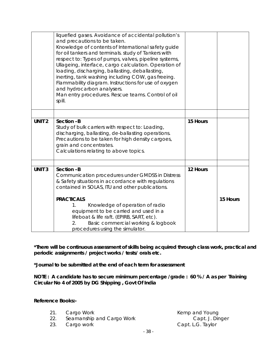|                   | liquefied gases. Avoidance of accidental pollution's<br>and precautions to be taken.<br>Knowledge of contents of International safety guide<br>for oil tankers and terminals. study of Tankers with<br>respect to: Types of pumps, valves, pipeline systems,<br>Ullageing, interface, cargo calculation. Operation of<br>loading, discharging, ballasting, deballasting,<br>inerting, tank washing including COW, gas freeing.<br>Flammability diagram. Instructions for use of oxygen<br>and hydrocarbon analysers.<br>Man entry procedures. Rescue teams. Control of oil<br>spill. |          |          |
|-------------------|--------------------------------------------------------------------------------------------------------------------------------------------------------------------------------------------------------------------------------------------------------------------------------------------------------------------------------------------------------------------------------------------------------------------------------------------------------------------------------------------------------------------------------------------------------------------------------------|----------|----------|
| UNIT <sub>2</sub> | Section -B                                                                                                                                                                                                                                                                                                                                                                                                                                                                                                                                                                           | 15 Hours |          |
|                   | Study of bulk carriers with respect to: Loading,<br>discharging, ballasting, de-ballasting operations.<br>Precautions to be taken for high density cargoes,<br>grain and concentrates.<br>Calculations relating to above topics.                                                                                                                                                                                                                                                                                                                                                     |          |          |
| <b>UNIT 3</b>     | Section -B                                                                                                                                                                                                                                                                                                                                                                                                                                                                                                                                                                           | 12 Hours |          |
|                   | Communication procedures under GMDSS in Distress<br>& Safety situations in accordance with regulations<br>contained in SOLAS, ITU and other publications.<br><b>PRACTICALS</b><br>Knowledge of operation of radio<br>$1_{-}$<br>equipment to be carried and used in a                                                                                                                                                                                                                                                                                                                |          | 15 Hours |
|                   | lifeboat & life raft. (EPIRB, SART, etc).<br>Basic commercial working & logbook<br>2.<br>procedures using the simulator.                                                                                                                                                                                                                                                                                                                                                                                                                                                             |          |          |

**\*Journal to be submitted at the end of each term for assessment** 

**NOTE : A candidate has to secure minimum percentage /grade : 60 % / A as per Training Circular No 4 of 2005 by DG Shipping , Govt Of India** 

# **Reference Books:-**

- 
- 22. Seamanship and Cargo Work
- 

21. Cargo Work **Kemp and Young**<br>22. Seamanship and Cargo Work **Kemp and Young** 23. Cargo work Capt. L.G. Taylor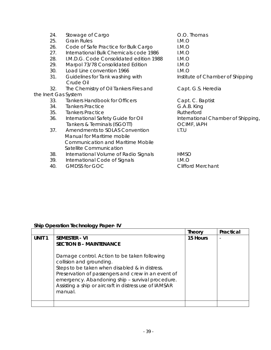| 24.<br>25.<br>26.<br>27.<br>28.<br>29. | Stowage of Cargo<br><b>Grain Rules</b><br>Code of Safe Practice for Bulk Cargo<br>International Bulk Chemicals code 1986<br>I.M.D.G. Code Consolidated edition 1988<br>Marpol 73/78 Consolidated Edition | O.O. Thomas<br>LM.O<br>LM.O<br>LM.O<br>I.M.O<br>I.M.O |
|----------------------------------------|----------------------------------------------------------------------------------------------------------------------------------------------------------------------------------------------------------|-------------------------------------------------------|
| 30.                                    | Load Line convention 1966                                                                                                                                                                                | I.M.O                                                 |
| 31.                                    | Guidelines for Tank washing with<br>Crude Oil                                                                                                                                                            | Institute of Chamber of Shipping                      |
| 32.                                    | The Chemistry of Oil Tankers Fires and                                                                                                                                                                   | Capt. G.S. Heredia                                    |
|                                        | the Inert Gas System                                                                                                                                                                                     |                                                       |
| 33.                                    | <b>Tankers Handbook for Officers</b>                                                                                                                                                                     | Capt. C. Baptist                                      |
| 34.                                    | <b>Tankers Practice</b>                                                                                                                                                                                  | G.A.B. King                                           |
| 35.                                    | <b>Tankers Practice</b>                                                                                                                                                                                  | Rutherford                                            |
| 36.                                    | International Safety Guide for Oil<br>Tankers & Terminals (ISGOTT)                                                                                                                                       | International Chamber of Shipping,<br>OCIMF, IAPH     |
| 37.                                    | Amendments to SOLAS Convention<br>Manual for Maritime mobile<br><b>Communication and Maritime Mobile</b><br>Satellite Communication                                                                      | I.T.U                                                 |
| 38.                                    | International Volume of Radio Signals                                                                                                                                                                    | <b>HMSO</b>                                           |
| 39.                                    | International Code of Signals                                                                                                                                                                            | LM.O                                                  |
| 40.                                    | <b>GMDSS for GOC</b>                                                                                                                                                                                     | <b>Clifford Merchant</b>                              |

# **Ship Operation Technology Paper- IV**

|                   |                                                                                                                                                                                                                                                                                                           | <b>Theory</b> | Practical |
|-------------------|-----------------------------------------------------------------------------------------------------------------------------------------------------------------------------------------------------------------------------------------------------------------------------------------------------------|---------------|-----------|
| UNIT <sub>1</sub> | <b>SEMESTER - VI</b><br><b>SECTION B - MAINTENANCE</b>                                                                                                                                                                                                                                                    | 15 Hours      | ٠         |
|                   | Damage control. Action to be taken following<br>collision and grounding.<br>Steps to be taken when disabled & in distress.<br>Preservation of passengers and crew in an event of<br>emergency. Abandoning ship - survival procedure.<br>Assisting a ship or aircraft in distress use of IAMSAR<br>manual. |               |           |
|                   |                                                                                                                                                                                                                                                                                                           |               |           |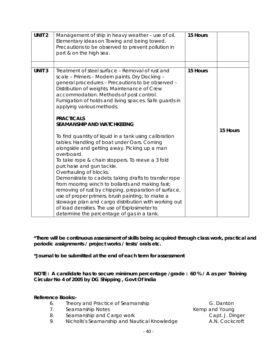| UNIT <sub>2</sub> | Management of ship in heavy weather - use of oil.<br>Elementary ideas on Towing and being towed.<br>Precautions to be observed to prevent pollution in<br>port & on the high sea.                                                                                                                                                                                                                                                                                                                                                                                                                                                                                                                                                                                                                                                                                                                                                                                                                                                                                   | 15 Hours |          |
|-------------------|---------------------------------------------------------------------------------------------------------------------------------------------------------------------------------------------------------------------------------------------------------------------------------------------------------------------------------------------------------------------------------------------------------------------------------------------------------------------------------------------------------------------------------------------------------------------------------------------------------------------------------------------------------------------------------------------------------------------------------------------------------------------------------------------------------------------------------------------------------------------------------------------------------------------------------------------------------------------------------------------------------------------------------------------------------------------|----------|----------|
| <b>UNIT 3</b>     | Treatment of steel surface – Removal of rust and<br>scale - Primers - Modern paints. Dry Docking -<br>general procedures - Precautions to be observed -<br>Distribution of weights. Maintenance of Crew<br>accommodation. Methods of post control.<br>Fumigation of holds and living spaces. Safe guards in<br>applying various methods.<br><b>PRACTICALS</b><br><b>SEAMANSHIP AND WATCHKEEING</b><br>To find quantity of liquid in a tank using calibration<br>tables. Handling of boat under Oars. Coming<br>alongside and getting away. Picking up a man<br>overboard.<br>To take rope & chain stoppers. To reeve a 3 fold<br>purchase and gun tackle.<br>Overhauling of blocks.<br>Demonstrate to cadets: taking drafts to transfer rope<br>from mooring winch to bollards and making fast;<br>removing of rust by chipping, preparation of surface,<br>use of proper primers, brush painting; to make a<br>stowage plan and cargo distribution with working out<br>of load densities. The use of Explosimeter to<br>determine the percentage of gas in a tank. | 15 Hours | 15 Hours |

**\*Journal to be submitted at the end of each term for assessment** 

**NOTE : A candidate has to secure minimum percentage /grade : 60 % / A as per Training Circular No 4 of 2005 by DG Shipping , Govt Of India** 

# **Reference Books:-**

- 6. Theory and Practice of Seamanship G. Danton
- 7. Seamanship Notes **Kemp and Young**
- 8. Seamanship and Cargo work Capt. J. Dinger
- 9. Nicholls's Seamanship and Nautical Knowledge A.N. Cockcroft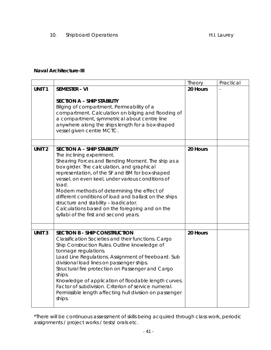10. Shipboard Operations **H.I. Laurey** H.I. Laurey

# **Naval Architecture-III**

|                   |                                                                                                                                                                                                                                                                                                                                                                                                                                                                                                                                 | Theory   | Practical |
|-------------------|---------------------------------------------------------------------------------------------------------------------------------------------------------------------------------------------------------------------------------------------------------------------------------------------------------------------------------------------------------------------------------------------------------------------------------------------------------------------------------------------------------------------------------|----------|-----------|
| UNIT <sub>1</sub> | <b>SEMESTER - VI</b><br><b>SECTION A - SHIP STABILITY</b><br>Bilging of compartment. Permeability of a<br>compartment. Calculation on bilging and flooding of<br>a compartment, symmetrical about centre line<br>anywhere along the ships length for a box-shaped                                                                                                                                                                                                                                                               | 20 Hours |           |
|                   | vessel given centre MCTC.                                                                                                                                                                                                                                                                                                                                                                                                                                                                                                       |          |           |
| <b>UNIT 2</b>     | <b>SECTION A - SHIP STABILITY</b><br>The inclining experiment.<br>Shearing Forces and Bending Moment. The ship as a<br>box girder. The calculation, and graphical<br>representation, of the SF and BM for box-shaped<br>vessel, on even keel, under various conditions of<br>load.<br>Modern methods of determining the effect of<br>different conditions of load and ballast on the ships<br>structure and stability - loadicator.<br>Calculations based on the foregoing and on the<br>syllabi of the first and second years. | 20 Hours |           |
| <b>UNIT3</b>      | <b>SECTION B - SHIP CONSTRUCTION</b><br>Classification Societies and their functions. Cargo<br>Ship Construction Rules. Outline knowledge of<br>tonnage regulations.<br>Load Line Regulations. Assignment of freeboard. Sub<br>divisional load lines on passenger ships.<br>Structural fire protection on Passenger and Cargo<br>ships.<br>Knowledge of application of floodable length curves.<br>Factor of subdivision. Criterion of service numeral.<br>Permissible length affecting hull division on passenger<br>ships.    | 20 Hours |           |

\*There will be continuous assessment of skills being acquired through class work, periodic assignments / project works / tests/ orals etc.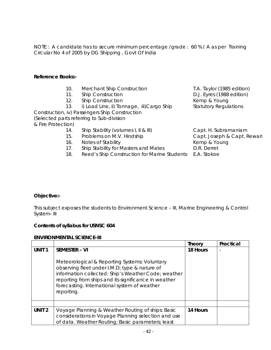NOTE : A candidate has to secure minimum percentage /grade : 60 % / A as per Training Circular No 4 of 2005 by DG Shipping , Govt Of India

# **Reference Books:-**

- 10. Merchant Ship Construction T.A. Taylor (1985 edition)
- 11. Ship Construction **D.J. Eyres** (1988 edition)
- 12. Ship Construction **Kemp & Young** 
	- 13. i) Load Line, ii) Tonnage, iii)Cargo Ship Statutory Regulations

Construction, iv) Passengers Ship Construction (Selected parts referring to Sub-division & Fire Protection)

- 14. Ship Stability (volumes I, II & III) Capt. H. Subramaniam
- 15. Problems on M.V. Hindship Capt. Joseph & Capt. Rewari
- 16. Notes of Stability **Notes and Stability** Kemp & Young
- 17. Ship Stability for Masters and Mates **D.R. Derret**
- 18. Reed's Ship Construction for Marine Students E.A. Stokoe

# **Objective:-**

This subject exposes the students to Environment Science – III, Marine Engineering & Control System- III

# **Contents of syllabus for USNSC 604**

# **ENVIRONMENTAL SCIENCE-III**

|                   |                                                                                                                                                                                                                                                                                                     | Theory   | Practical |
|-------------------|-----------------------------------------------------------------------------------------------------------------------------------------------------------------------------------------------------------------------------------------------------------------------------------------------------|----------|-----------|
| <b>UNIT1</b>      | <b>SEMESTER - VI</b><br>Meteorological & Reporting Systems: Voluntary<br>observing fleet under I.M.D; type & nature of<br>information collected: Ship's Weather Code; weather<br>reporting from ships and its significance in weather<br>forecasting. International system of weather<br>reporting. | 18 Hours |           |
|                   |                                                                                                                                                                                                                                                                                                     |          |           |
|                   |                                                                                                                                                                                                                                                                                                     |          |           |
| UNIT <sub>2</sub> | Voyage Planning & Weather Routing of ships: Basic<br>considerations in Voyage Planning selection and use<br>of data. Weather Routing; Basic parameters; least                                                                                                                                       | 14 Hours |           |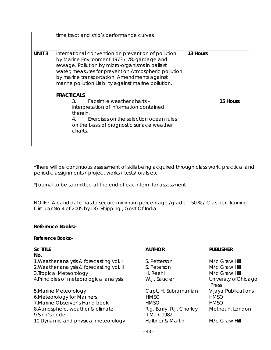|              | time tract and ship's performance curves.                                                                                                                                                                                                                                                                                                                                                                                                                                                                                                                                  |          |          |
|--------------|----------------------------------------------------------------------------------------------------------------------------------------------------------------------------------------------------------------------------------------------------------------------------------------------------------------------------------------------------------------------------------------------------------------------------------------------------------------------------------------------------------------------------------------------------------------------------|----------|----------|
|              |                                                                                                                                                                                                                                                                                                                                                                                                                                                                                                                                                                            |          |          |
| <b>UNIT3</b> | International convention on prevention of pollution<br>by Marine Environment 1973 / 78, garbage and<br>sewage. Pollution by micro-organisms in ballast<br>water; measures for prevention. Atmospheric pollution<br>by marine transportation. Amendments against<br>marine pollution. Liability against marine pollution.<br><b>PRACTICALS</b><br>Facsimile weather charts -<br>$\mathcal{S}$<br>interpretation of information contained<br>therein.<br>$\overline{4}$ .<br>Exercises on the selection ocean rules<br>on the basis of prognostic surface weather<br>charts. | 13 Hours | 15 Hours |

\*Journal to be submitted at the end of each term for assessment

NOTE : A candidate has to secure minimum percentage /grade : 50 % / C as per Training Circular No 4 of 2005 by DG Shipping , Govt Of India

# **Reference Books:-**

# **Reference Books:-**

| Sr. TITLE<br>No.                                   | <b>AUTHOR</b>                           | <b>PUBLISHER</b>               |
|----------------------------------------------------|-----------------------------------------|--------------------------------|
| 1. Weather analysis & forecasting vol. I           | S. Petterson                            | M/c Graw Hill                  |
| 2. Weather analysis & forecasting vol. II          | S. Peterson                             | M/c Graw Hill                  |
| 3. Tropical Meteorology                            | H. Reehi                                | M/c Graw Hill                  |
| 4. Principles of meteorological analysis           | W.J. Saucier                            | University of Chicago<br>Press |
| 5. Marine Meteorology                              | Capt. H. Subramanian                    | Vijaya Publications            |
| 6. Meteorology for Mariners                        | <b>HMSO</b>                             | <b>HMSO</b>                    |
| 7. Marine Observer's Hand book                     | <b>HMSO</b>                             | <b>HMSO</b>                    |
| 8. Atmosphere, weather & climate<br>9. Ship's code | R.g. Barry, R.J. Chorley<br>I.M.D. 1982 | Metheun, London                |
| 10. Dynamic and physical meteorology               | Haltiner & Martin                       | M/c Graw Hill                  |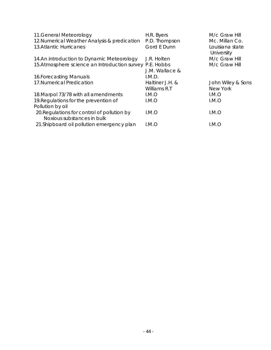| 11. General Meteorology                                                   | H.R. Byers      | M/c Graw Hill                 |
|---------------------------------------------------------------------------|-----------------|-------------------------------|
| 12. Numerical Weather Analysis & predication                              | P.D. Thompson   | Mc. Millan Co.                |
| <b>13.Atlantic Hurricanes</b>                                             | Gord E Dunn     | Louisiana state<br>University |
| 14.An introduction to Dynamic Meteorology                                 | J.R. Holten     | M/c Graw Hill                 |
| 15. Atmosphere science an Introduction survey P.E. Hobbs                  |                 | M/c Graw Hill                 |
|                                                                           | J.M. Wallace &  |                               |
| 16. Forecasting Manuals                                                   | I.M.D.          |                               |
| 17. Numerical Predication                                                 | Haltiner J.H. & | John Wiley & Sons             |
|                                                                           | Williams R.T    | New York                      |
| 18. Marpol 73/78 with all amendments                                      | I.M.O           | I.M.O                         |
| 19. Regulations for the prevention of                                     | LM.O            | I.M.O                         |
| Pollution by oil                                                          |                 |                               |
| 20. Regulations for control of pollution by<br>Noxious substances in bulk | I.M.O           | I.M.O                         |
| 21. Shipboard oil pollution emergency plan                                | I.M.O           | I.M.O                         |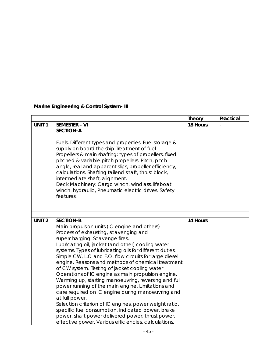# **Marine Engineering & Control System- III**

|                   |                                                                                                                                                                                                                                                                                                                                                                                                                                                                                                                                                                                                                                                                                                                                                                                                                                                                                                    | <b>Theory</b> | Practical |
|-------------------|----------------------------------------------------------------------------------------------------------------------------------------------------------------------------------------------------------------------------------------------------------------------------------------------------------------------------------------------------------------------------------------------------------------------------------------------------------------------------------------------------------------------------------------------------------------------------------------------------------------------------------------------------------------------------------------------------------------------------------------------------------------------------------------------------------------------------------------------------------------------------------------------------|---------------|-----------|
| UNIT <sub>1</sub> | <b>SEMESTER - VI</b><br><b>SECTION-A</b><br>Fuels: Different types and properties. Fuel storage &<br>supply on board the ship. Treatment of fuel<br>Propellers & main shafting: types of propellers, fixed<br>pitched & variable pitch propellers. Pitch, pitch<br>angle, real and apparent slips, propeller efficiency,<br>calculations. Shafting tailend shaft, thrust block,<br>intermediate shaft, alignment.<br>Deck Machinery: Cargo winch, windlass, lifeboat<br>winch. hydraulic, Pneumatic electric drives. Safety<br>features.                                                                                                                                                                                                                                                                                                                                                           | 18 Hours      |           |
|                   |                                                                                                                                                                                                                                                                                                                                                                                                                                                                                                                                                                                                                                                                                                                                                                                                                                                                                                    |               |           |
| UNIT <sub>2</sub> | <b>SECTION-B</b><br>Main propulsion units (IC engine and others)<br>Process of exhausting, scavenging and<br>supercharging. Scavenge fires.<br>Lubricating oil, jacket (and other) cooling water<br>systems. Types of lubricating oils for different duties.<br>Simple CW, L.O and F.O. flow circuits for large diesel<br>engine. Reasons and methods of chemical treatment<br>of CW system. Testing of jacket cooling water<br>Operations of IC engine as main propulsion engine.<br>Warming up, starting manoeuvring, reversing and full<br>power running of the main engine. Limitations and<br>care required on IC engine during manoeuvring and<br>at full power.<br>Selection criterion of IC engines, power weight ratio,<br>specific fuel consumption, indicated power, brake<br>power, shaft power delivered power, thrust power,<br>effective power. Various efficiencies, calculations. | 14 Hours      |           |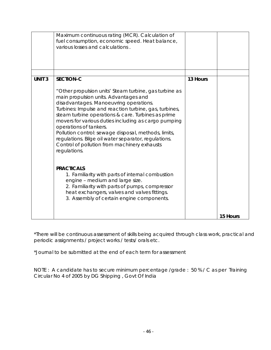|               | Maximum continuous rating (MCR). Calculation of<br>fuel consumption, economic speed. Heat balance,<br>various losses and calculations.                                                                                                                                                                                                                                                                                                                                                                                                                                                                                                                                                                                                                                                                     |          |          |
|---------------|------------------------------------------------------------------------------------------------------------------------------------------------------------------------------------------------------------------------------------------------------------------------------------------------------------------------------------------------------------------------------------------------------------------------------------------------------------------------------------------------------------------------------------------------------------------------------------------------------------------------------------------------------------------------------------------------------------------------------------------------------------------------------------------------------------|----------|----------|
| <b>UNIT 3</b> | <b>SECTION-C</b><br>"Other propulsion units' Steam turbine, gas turbine as<br>main propulsion units. Advantages and<br>disadvantages. Manoeuvring operations.<br>Turbines: Impulse and reaction turbine, gas, turbines,<br>steam turbine operations & care. Turbines as prime<br>movers for various duties including as cargo pumping<br>operations of tankers.<br>Pollution control: sewage disposal, methods, limits,<br>regulations. Bilge oil water separator, regulations.<br>Control of pollution from machinery exhausts<br>regulations.<br><b>PRACTICALS</b><br>1. Familiarity with parts of internal combustion<br>engine - medium and large size.<br>2. Familiarity with parts of pumps, compressor<br>heat exchangers, valves and valves fittings.<br>3. Assembly of certain engine components. | 13 Hours |          |
|               |                                                                                                                                                                                                                                                                                                                                                                                                                                                                                                                                                                                                                                                                                                                                                                                                            |          | 15 Hours |

\*Journal to be submitted at the end of each term for assessment

NOTE : A candidate has to secure minimum percentage /grade : 50 % / C as per Training Circular No 4 of 2005 by DG Shipping , Govt Of India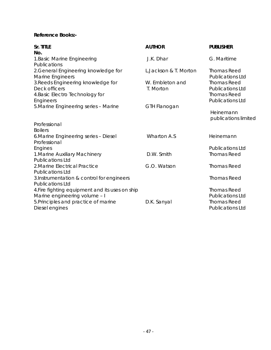# **Reference Books:-**

| Sr. TITLE<br>No.                                                                       | <b>AUTHOR</b>                | <b>PUBLISHER</b>                                                    |
|----------------------------------------------------------------------------------------|------------------------------|---------------------------------------------------------------------|
| 1. Basic Marine Engineering<br>Publications                                            | J.K. Dhar                    | G. Maritime                                                         |
| 2. General Engineering knowledge for<br>Marine Engineers                               | L.Jackson & T. Morton        | <b>Thomas Reed</b><br><b>Publications Ltd</b>                       |
| 3. Reeds Engineering knowledge for<br>Deck officers<br>4. Basic Electro Technology for | W. Embleton and<br>T. Morton | <b>Thomas Reed</b><br><b>Publications Ltd</b><br><b>Thomas Reed</b> |
| Engineers<br>5. Marine Engineering series - Marine                                     | GTH Flanogan                 | <b>Publications Ltd</b>                                             |
|                                                                                        |                              | Heinemann<br>publications limited                                   |
| Professional                                                                           |                              |                                                                     |
| <b>Boilers</b>                                                                         |                              |                                                                     |
| 6. Marine Engineering series - Diesel<br>Professional                                  | <b>Wharton A.S</b>           | Heinemann                                                           |
| Engines                                                                                |                              | <b>Publications Ltd</b>                                             |
| 1. Marine Auxiliary Machinery<br><b>Publications Ltd</b>                               | D.W. Smith                   | <b>Thomas Reed</b>                                                  |
| 2. Marine Electrical Practice<br><b>Publications Ltd</b>                               | G.O. Watson                  | <b>Thomas Reed</b>                                                  |
| 3.Instrumentation & control for engineers<br><b>Publications Ltd</b>                   |                              | <b>Thomas Reed</b>                                                  |
| 4. Fire fighting equipment and its uses on ship<br>Marine engineering volume - I       |                              | <b>Thomas Reed</b><br><b>Publications Ltd</b>                       |
| 5. Principles and practice of marine<br>Diesel engines                                 | D.K. Sanyal                  | <b>Thomas Reed</b><br><b>Publications Ltd</b>                       |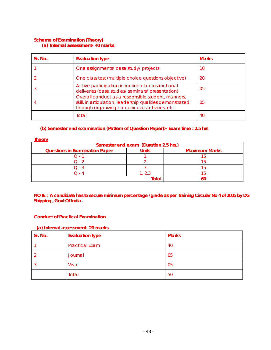#### **Scheme of Examination (Theory) (a) Internal assessment- 40 marks**

| Sr. No. | <b>Evaluation type</b>                                                                                                                                               | <b>Marks</b> |
|---------|----------------------------------------------------------------------------------------------------------------------------------------------------------------------|--------------|
|         | One assignments/ case study/ projects                                                                                                                                | 10           |
|         | One class test (multiple choice questions objective)                                                                                                                 | 20           |
|         | Active participation in routine class instructional<br>deliveries (case studies/ seminars/ presentation)                                                             | 05           |
|         | Overall conduct as a responsible student, manners,<br>skill, in articulation, leadership qualities demonstrated<br>through organizing co-curricular activities, etc. | 05           |
|         | Total                                                                                                                                                                | 40           |

### **(b) Semester end examination (Pattern of Question Paper):- Exam time : 2.5 hrs**

**Theory**

| Semester end exam (Duration 2.5 hrs.) |       |                      |  |
|---------------------------------------|-------|----------------------|--|
| <b>Questions in Examination Paper</b> | Units | <b>Maximum Marks</b> |  |
|                                       |       |                      |  |
|                                       |       |                      |  |
|                                       |       |                      |  |
|                                       |       |                      |  |
|                                       | ota   |                      |  |

**NOTE : A candidate has to secure minimum percentage /grade as per Training Circular No 4 of 2005 by DG Shipping , Govt Of India .** 

### **Conduct of Practical Examination**

#### **(a) Internal assessment- 20 marks**

| Sr. No. | <b>Evaluation type</b> | <b>Marks</b> |
|---------|------------------------|--------------|
|         | <b>Practical Exam</b>  | 40           |
|         | Journal                | 05           |
| 3       | Viva                   | 05           |
|         | Total                  | 50           |